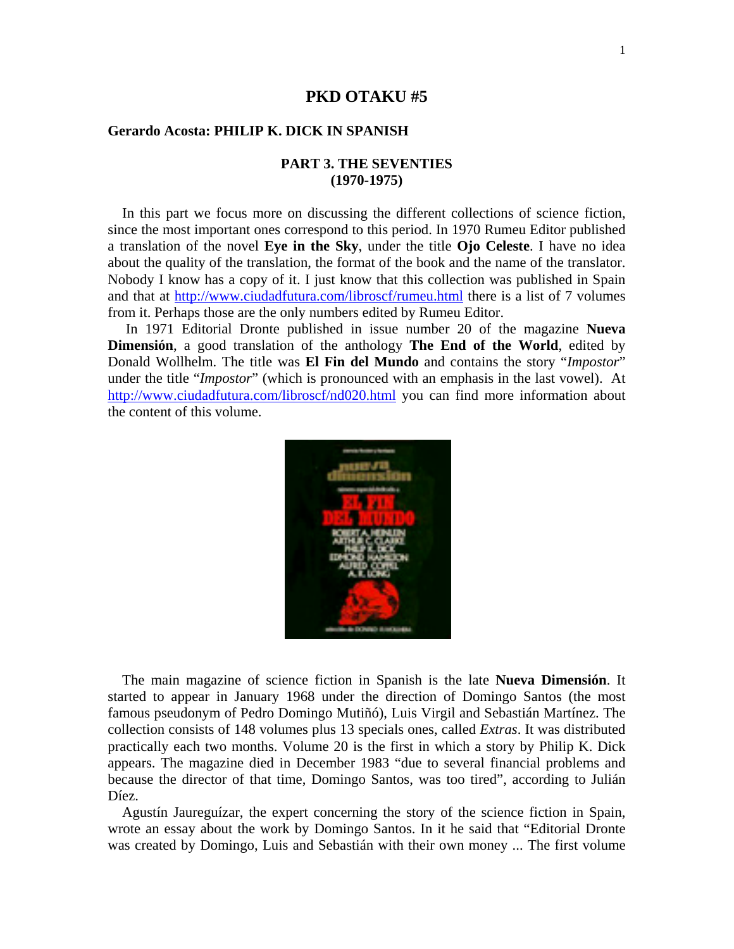## **PKD OTAKU #5**

### **Gerardo Acosta: PHILIP K. DICK IN SPANISH**

## **PART 3. THE SEVENTIES (1970-1975)**

 In this part we focus more on discussing the different collections of science fiction, since the most important ones correspond to this period. In 1970 Rumeu Editor published a translation of the novel **Eye in the Sky**, under the title **Ojo Celeste**. I have no idea about the quality of the translation, the format of the book and the name of the translator. Nobody I know has a copy of it. I just know that this collection was published in Spain and that at http://www.ciudadfutura.com/libroscf/rumeu.html there is a list of 7 volumes from it. Perhaps those are the only numbers edited by Rumeu Editor.

 In 1971 Editorial Dronte published in issue number 20 of the magazine **Nueva Dimensión**, a good translation of the anthology **The End of the World**, edited by Donald Wollhelm. The title was **El Fin del Mundo** and contains the story "*Impostor*" under the title "*Impostor*" (which is pronounced with an emphasis in the last vowel). At http://www.ciudadfutura.com/libroscf/nd020.html you can find more information about the content of this volume.



 The main magazine of science fiction in Spanish is the late **Nueva Dimensión**. It started to appear in January 1968 under the direction of Domingo Santos (the most famous pseudonym of Pedro Domingo Mutiñó), Luis Virgil and Sebastián Martínez. The collection consists of 148 volumes plus 13 specials ones, called *Extras*. It was distributed practically each two months. Volume 20 is the first in which a story by Philip K. Dick appears. The magazine died in December 1983 "due to several financial problems and because the director of that time, Domingo Santos, was too tired", according to Julián Díez.

 Agustín Jaureguízar, the expert concerning the story of the science fiction in Spain, wrote an essay about the work by Domingo Santos. In it he said that "Editorial Dronte was created by Domingo, Luis and Sebastián with their own money ... The first volume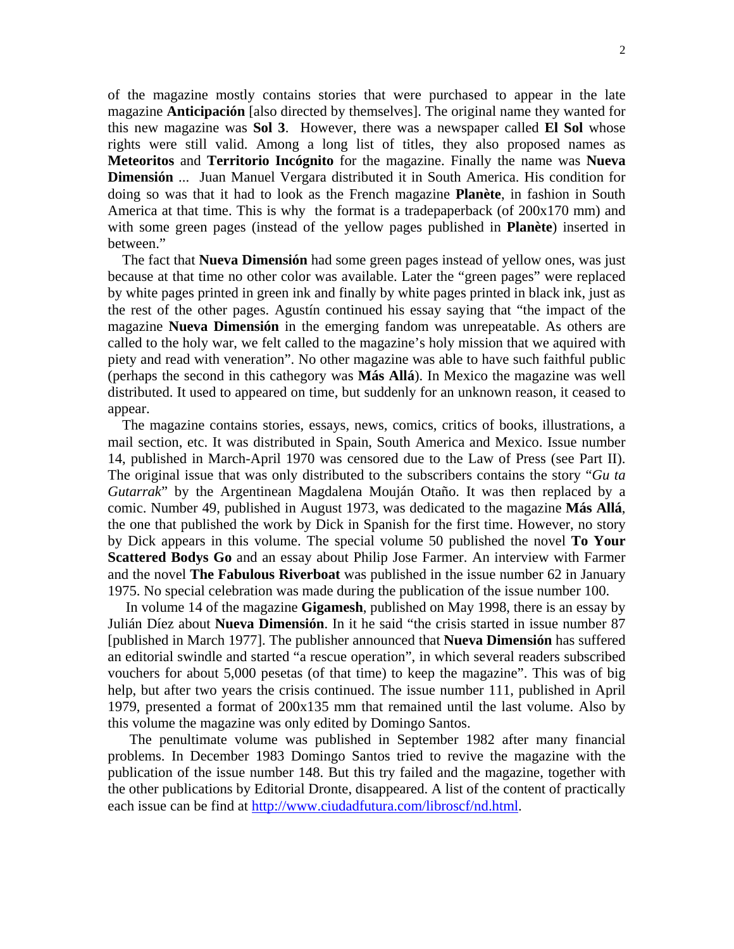of the magazine mostly contains stories that were purchased to appear in the late magazine **Anticipación** [also directed by themselves]. The original name they wanted for this new magazine was **Sol 3**. However, there was a newspaper called **El Sol** whose rights were still valid. Among a long list of titles, they also proposed names as **Meteoritos** and **Territorio Incógnito** for the magazine. Finally the name was **Nueva Dimensión** ... Juan Manuel Vergara distributed it in South America. His condition for doing so was that it had to look as the French magazine **Planète**, in fashion in South America at that time. This is why the format is a tradepaperback (of 200x170 mm) and with some green pages (instead of the yellow pages published in **Planète**) inserted in between."

 The fact that **Nueva Dimensión** had some green pages instead of yellow ones, was just because at that time no other color was available. Later the "green pages" were replaced by white pages printed in green ink and finally by white pages printed in black ink, just as the rest of the other pages. Agustín continued his essay saying that "the impact of the magazine **Nueva Dimensión** in the emerging fandom was unrepeatable. As others are called to the holy war, we felt called to the magazine's holy mission that we aquired with piety and read with veneration". No other magazine was able to have such faithful public (perhaps the second in this cathegory was **Más Allá**). In Mexico the magazine was well distributed. It used to appeared on time, but suddenly for an unknown reason, it ceased to appear.

 The magazine contains stories, essays, news, comics, critics of books, illustrations, a mail section, etc. It was distributed in Spain, South America and Mexico. Issue number 14, published in March-April 1970 was censored due to the Law of Press (see Part II). The original issue that was only distributed to the subscribers contains the story "*Gu ta Gutarrak*" by the Argentinean Magdalena Mouján Otaño. It was then replaced by a comic. Number 49, published in August 1973, was dedicated to the magazine **Más Allá**, the one that published the work by Dick in Spanish for the first time. However, no story by Dick appears in this volume. The special volume 50 published the novel **To Your Scattered Bodys Go** and an essay about Philip Jose Farmer. An interview with Farmer and the novel **The Fabulous Riverboat** was published in the issue number 62 in January 1975. No special celebration was made during the publication of the issue number 100.

 In volume 14 of the magazine **Gigamesh**, published on May 1998, there is an essay by Julián Díez about **Nueva Dimensión**. In it he said "the crisis started in issue number 87 [published in March 1977]. The publisher announced that **Nueva Dimensión** has suffered an editorial swindle and started "a rescue operation", in which several readers subscribed vouchers for about 5,000 pesetas (of that time) to keep the magazine". This was of big help, but after two years the crisis continued. The issue number 111, published in April 1979, presented a format of 200x135 mm that remained until the last volume. Also by this volume the magazine was only edited by Domingo Santos.

 The penultimate volume was published in September 1982 after many financial problems. In December 1983 Domingo Santos tried to revive the magazine with the publication of the issue number 148. But this try failed and the magazine, together with the other publications by Editorial Dronte, disappeared. A list of the content of practically each issue can be find at http://www.ciudadfutura.com/libroscf/nd.html.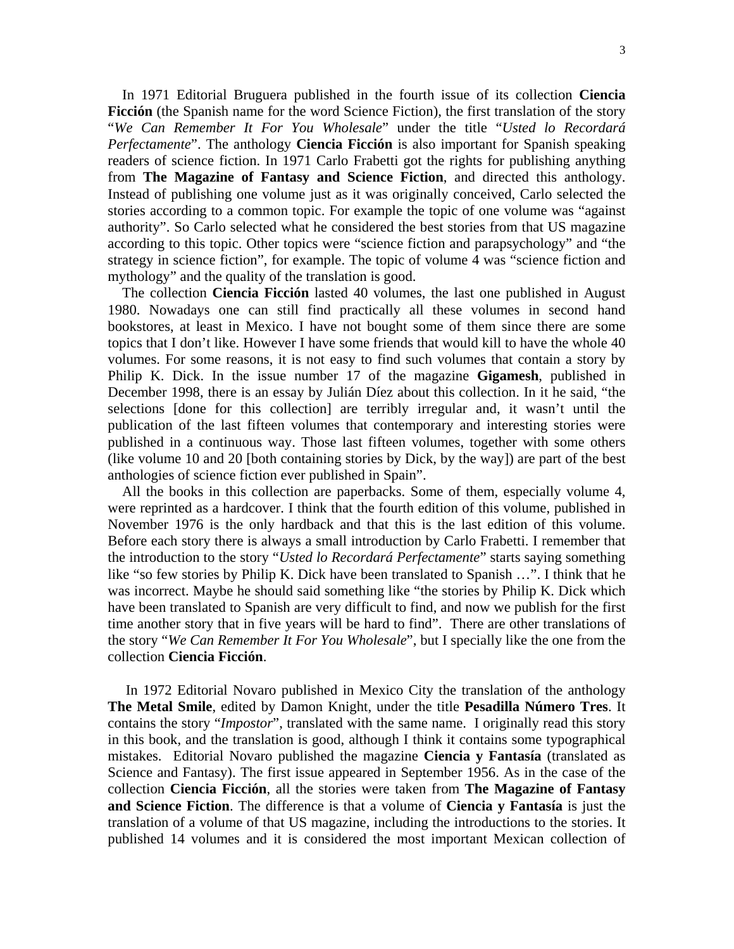In 1971 Editorial Bruguera published in the fourth issue of its collection **Ciencia Ficción** (the Spanish name for the word Science Fiction), the first translation of the story "*We Can Remember It For You Wholesale*" under the title "*Usted lo Recordará Perfectamente*". The anthology **Ciencia Ficción** is also important for Spanish speaking readers of science fiction. In 1971 Carlo Frabetti got the rights for publishing anything from **The Magazine of Fantasy and Science Fiction**, and directed this anthology. Instead of publishing one volume just as it was originally conceived, Carlo selected the stories according to a common topic. For example the topic of one volume was "against authority". So Carlo selected what he considered the best stories from that US magazine according to this topic. Other topics were "science fiction and parapsychology" and "the strategy in science fiction", for example. The topic of volume 4 was "science fiction and mythology" and the quality of the translation is good.

 The collection **Ciencia Ficción** lasted 40 volumes, the last one published in August 1980. Nowadays one can still find practically all these volumes in second hand bookstores, at least in Mexico. I have not bought some of them since there are some topics that I don't like. However I have some friends that would kill to have the whole 40 volumes. For some reasons, it is not easy to find such volumes that contain a story by Philip K. Dick. In the issue number 17 of the magazine **Gigamesh**, published in December 1998, there is an essay by Julián Díez about this collection. In it he said, "the selections [done for this collection] are terribly irregular and, it wasn't until the publication of the last fifteen volumes that contemporary and interesting stories were published in a continuous way. Those last fifteen volumes, together with some others (like volume 10 and 20 [both containing stories by Dick, by the way]) are part of the best anthologies of science fiction ever published in Spain".

 All the books in this collection are paperbacks. Some of them, especially volume 4, were reprinted as a hardcover. I think that the fourth edition of this volume, published in November 1976 is the only hardback and that this is the last edition of this volume. Before each story there is always a small introduction by Carlo Frabetti. I remember that the introduction to the story "*Usted lo Recordará Perfectamente*" starts saying something like "so few stories by Philip K. Dick have been translated to Spanish …". I think that he was incorrect. Maybe he should said something like "the stories by Philip K. Dick which have been translated to Spanish are very difficult to find, and now we publish for the first time another story that in five years will be hard to find". There are other translations of the story "*We Can Remember It For You Wholesale*", but I specially like the one from the collection **Ciencia Ficción**.

 In 1972 Editorial Novaro published in Mexico City the translation of the anthology **The Metal Smile**, edited by Damon Knight, under the title **Pesadilla Número Tres**. It contains the story "*Impostor*", translated with the same name. I originally read this story in this book, and the translation is good, although I think it contains some typographical mistakes. Editorial Novaro published the magazine **Ciencia y Fantasía** (translated as Science and Fantasy). The first issue appeared in September 1956. As in the case of the collection **Ciencia Ficción**, all the stories were taken from **The Magazine of Fantasy and Science Fiction**. The difference is that a volume of **Ciencia y Fantasía** is just the translation of a volume of that US magazine, including the introductions to the stories. It published 14 volumes and it is considered the most important Mexican collection of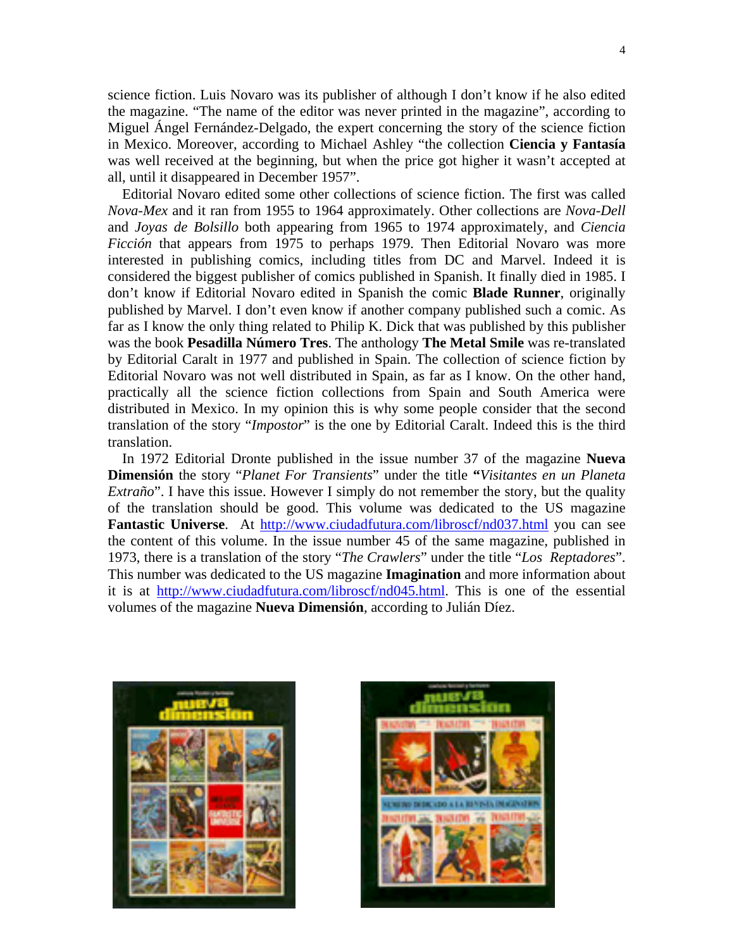science fiction. Luis Novaro was its publisher of although I don't know if he also edited the magazine. "The name of the editor was never printed in the magazine", according to Miguel Ángel Fernández-Delgado, the expert concerning the story of the science fiction in Mexico. Moreover, according to Michael Ashley "the collection **Ciencia y Fantasía** was well received at the beginning, but when the price got higher it wasn't accepted at all, until it disappeared in December 1957".

 Editorial Novaro edited some other collections of science fiction. The first was called *Nova-Mex* and it ran from 1955 to 1964 approximately. Other collections are *Nova-Dell* and *Joyas de Bolsillo* both appearing from 1965 to 1974 approximately, and *Ciencia Ficción* that appears from 1975 to perhaps 1979. Then Editorial Novaro was more interested in publishing comics, including titles from DC and Marvel. Indeed it is considered the biggest publisher of comics published in Spanish. It finally died in 1985. I don't know if Editorial Novaro edited in Spanish the comic **Blade Runner**, originally published by Marvel. I don't even know if another company published such a comic. As far as I know the only thing related to Philip K. Dick that was published by this publisher was the book **Pesadilla Número Tres**. The anthology **The Metal Smile** was re-translated by Editorial Caralt in 1977 and published in Spain. The collection of science fiction by Editorial Novaro was not well distributed in Spain, as far as I know. On the other hand, practically all the science fiction collections from Spain and South America were distributed in Mexico. In my opinion this is why some people consider that the second translation of the story "*Impostor*" is the one by Editorial Caralt. Indeed this is the third translation.

 In 1972 Editorial Dronte published in the issue number 37 of the magazine **Nueva Dimensión** the story "*Planet For Transients*" under the title **"***Visitantes en un Planeta Extraño*". I have this issue. However I simply do not remember the story, but the quality of the translation should be good. This volume was dedicated to the US magazine **Fantastic Universe.** At http://www.ciudadfutura.com/libroscf/nd037.html you can see the content of this volume. In the issue number 45 of the same magazine, published in 1973, there is a translation of the story "*The Crawlers*" under the title "*Los Reptadores*". This number was dedicated to the US magazine **Imagination** and more information about it is at http://www.ciudadfutura.com/libroscf/nd045.html. This is one of the essential volumes of the magazine **Nueva Dimensión**, according to Julián Díez.



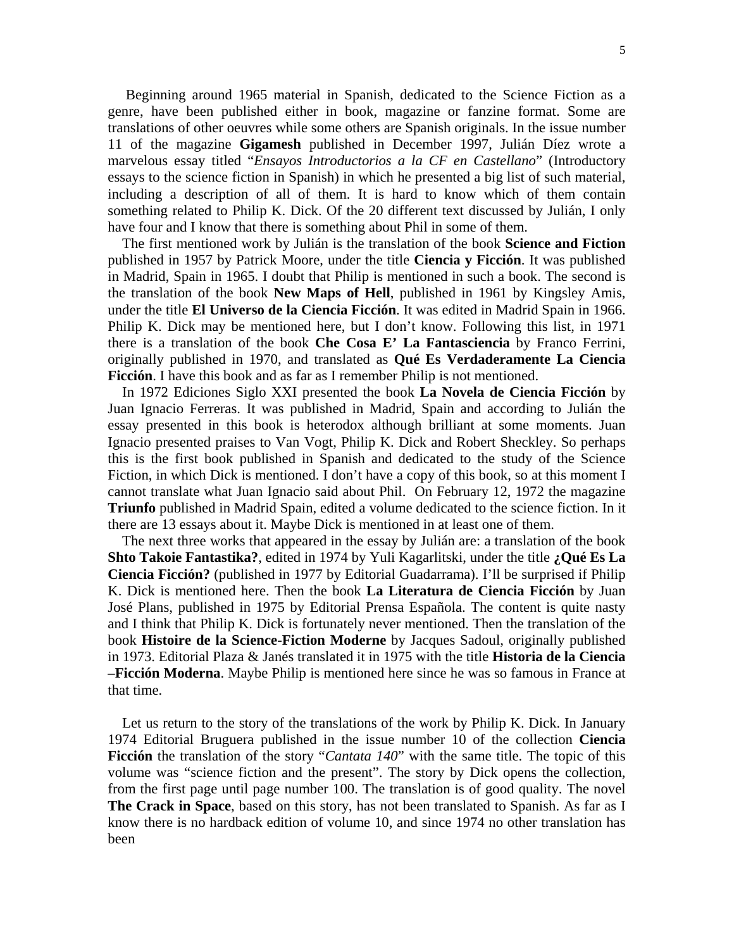Beginning around 1965 material in Spanish, dedicated to the Science Fiction as a genre, have been published either in book, magazine or fanzine format. Some are translations of other oeuvres while some others are Spanish originals. In the issue number 11 of the magazine **Gigamesh** published in December 1997, Julián Díez wrote a marvelous essay titled "*Ensayos Introductorios a la CF en Castellano*" (Introductory essays to the science fiction in Spanish) in which he presented a big list of such material, including a description of all of them. It is hard to know which of them contain something related to Philip K. Dick. Of the 20 different text discussed by Julián, I only have four and I know that there is something about Phil in some of them.

 The first mentioned work by Julián is the translation of the book **Science and Fiction** published in 1957 by Patrick Moore, under the title **Ciencia y Ficción**. It was published in Madrid, Spain in 1965. I doubt that Philip is mentioned in such a book. The second is the translation of the book **New Maps of Hell**, published in 1961 by Kingsley Amis, under the title **El Universo de la Ciencia Ficción**. It was edited in Madrid Spain in 1966. Philip K. Dick may be mentioned here, but I don't know. Following this list, in 1971 there is a translation of the book **Che Cosa E' La Fantasciencia** by Franco Ferrini, originally published in 1970, and translated as **Qué Es Verdaderamente La Ciencia Ficción**. I have this book and as far as I remember Philip is not mentioned.

 In 1972 Ediciones Siglo XXI presented the book **La Novela de Ciencia Ficción** by Juan Ignacio Ferreras. It was published in Madrid, Spain and according to Julián the essay presented in this book is heterodox although brilliant at some moments. Juan Ignacio presented praises to Van Vogt, Philip K. Dick and Robert Sheckley. So perhaps this is the first book published in Spanish and dedicated to the study of the Science Fiction, in which Dick is mentioned. I don't have a copy of this book, so at this moment I cannot translate what Juan Ignacio said about Phil. On February 12, 1972 the magazine **Triunfo** published in Madrid Spain, edited a volume dedicated to the science fiction. In it there are 13 essays about it. Maybe Dick is mentioned in at least one of them.

 The next three works that appeared in the essay by Julián are: a translation of the book **Shto Takoie Fantastika?**, edited in 1974 by Yuli Kagarlitski, under the title **¿Qué Es La Ciencia Ficción?** (published in 1977 by Editorial Guadarrama). I'll be surprised if Philip K. Dick is mentioned here. Then the book **La Literatura de Ciencia Ficción** by Juan José Plans, published in 1975 by Editorial Prensa Española. The content is quite nasty and I think that Philip K. Dick is fortunately never mentioned. Then the translation of the book **Histoire de la Science-Fiction Moderne** by Jacques Sadoul, originally published in 1973. Editorial Plaza & Janés translated it in 1975 with the title **Historia de la Ciencia –Ficción Moderna**. Maybe Philip is mentioned here since he was so famous in France at that time.

 Let us return to the story of the translations of the work by Philip K. Dick. In January 1974 Editorial Bruguera published in the issue number 10 of the collection **Ciencia Ficción** the translation of the story "*Cantata 140*" with the same title. The topic of this volume was "science fiction and the present". The story by Dick opens the collection, from the first page until page number 100. The translation is of good quality. The novel **The Crack in Space**, based on this story, has not been translated to Spanish. As far as I know there is no hardback edition of volume 10, and since 1974 no other translation has been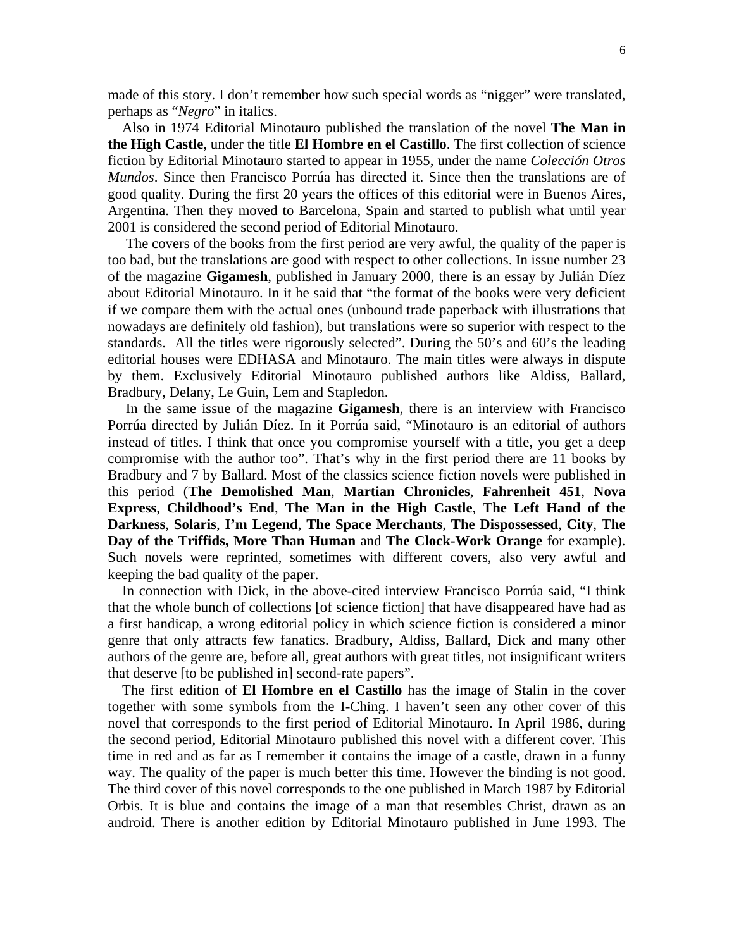made of this story. I don't remember how such special words as "nigger" were translated, perhaps as "*Negro*" in italics.

 Also in 1974 Editorial Minotauro published the translation of the novel **The Man in the High Castle**, under the title **El Hombre en el Castillo**. The first collection of science fiction by Editorial Minotauro started to appear in 1955, under the name *Colección Otros Mundos*. Since then Francisco Porrúa has directed it. Since then the translations are of good quality. During the first 20 years the offices of this editorial were in Buenos Aires, Argentina. Then they moved to Barcelona, Spain and started to publish what until year 2001 is considered the second period of Editorial Minotauro.

 The covers of the books from the first period are very awful, the quality of the paper is too bad, but the translations are good with respect to other collections. In issue number 23 of the magazine **Gigamesh**, published in January 2000, there is an essay by Julián Díez about Editorial Minotauro. In it he said that "the format of the books were very deficient if we compare them with the actual ones (unbound trade paperback with illustrations that nowadays are definitely old fashion), but translations were so superior with respect to the standards. All the titles were rigorously selected". During the 50's and 60's the leading editorial houses were EDHASA and Minotauro. The main titles were always in dispute by them. Exclusively Editorial Minotauro published authors like Aldiss, Ballard, Bradbury, Delany, Le Guin, Lem and Stapledon.

 In the same issue of the magazine **Gigamesh**, there is an interview with Francisco Porrúa directed by Julián Díez. In it Porrúa said, "Minotauro is an editorial of authors instead of titles. I think that once you compromise yourself with a title, you get a deep compromise with the author too". That's why in the first period there are 11 books by Bradbury and 7 by Ballard. Most of the classics science fiction novels were published in this period (**The Demolished Man**, **Martian Chronicles**, **Fahrenheit 451**, **Nova Express**, **Childhood's End**, **The Man in the High Castle**, **The Left Hand of the Darkness**, **Solaris**, **I'm Legend**, **The Space Merchants**, **The Dispossessed**, **City**, **The Day of the Triffids, More Than Human** and **The Clock-Work Orange** for example). Such novels were reprinted, sometimes with different covers, also very awful and keeping the bad quality of the paper.

 In connection with Dick, in the above-cited interview Francisco Porrúa said, "I think that the whole bunch of collections [of science fiction] that have disappeared have had as a first handicap, a wrong editorial policy in which science fiction is considered a minor genre that only attracts few fanatics. Bradbury, Aldiss, Ballard, Dick and many other authors of the genre are, before all, great authors with great titles, not insignificant writers that deserve [to be published in] second-rate papers".

 The first edition of **El Hombre en el Castillo** has the image of Stalin in the cover together with some symbols from the I-Ching. I haven't seen any other cover of this novel that corresponds to the first period of Editorial Minotauro. In April 1986, during the second period, Editorial Minotauro published this novel with a different cover. This time in red and as far as I remember it contains the image of a castle, drawn in a funny way. The quality of the paper is much better this time. However the binding is not good. The third cover of this novel corresponds to the one published in March 1987 by Editorial Orbis. It is blue and contains the image of a man that resembles Christ, drawn as an android. There is another edition by Editorial Minotauro published in June 1993. The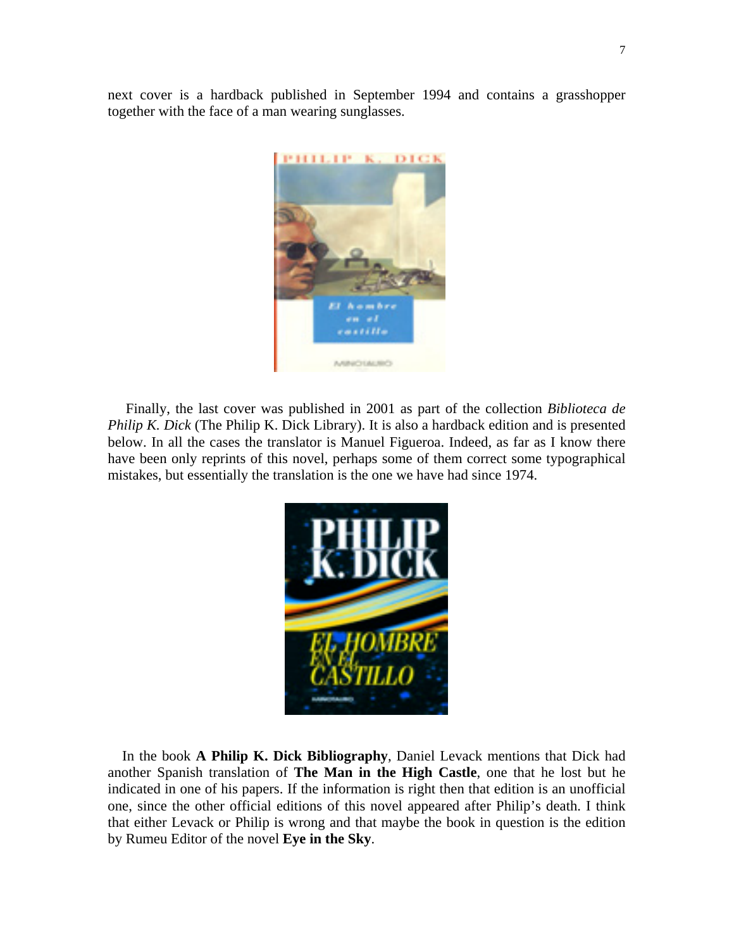next cover is a hardback published in September 1994 and contains a grasshopper together with the face of a man wearing sunglasses.



 Finally, the last cover was published in 2001 as part of the collection *Biblioteca de Philip K. Dick* (The Philip K. Dick Library). It is also a hardback edition and is presented below. In all the cases the translator is Manuel Figueroa. Indeed, as far as I know there have been only reprints of this novel, perhaps some of them correct some typographical mistakes, but essentially the translation is the one we have had since 1974.



 In the book **A Philip K. Dick Bibliography**, Daniel Levack mentions that Dick had another Spanish translation of **The Man in the High Castle**, one that he lost but he indicated in one of his papers. If the information is right then that edition is an unofficial one, since the other official editions of this novel appeared after Philip's death. I think that either Levack or Philip is wrong and that maybe the book in question is the edition by Rumeu Editor of the novel **Eye in the Sky**.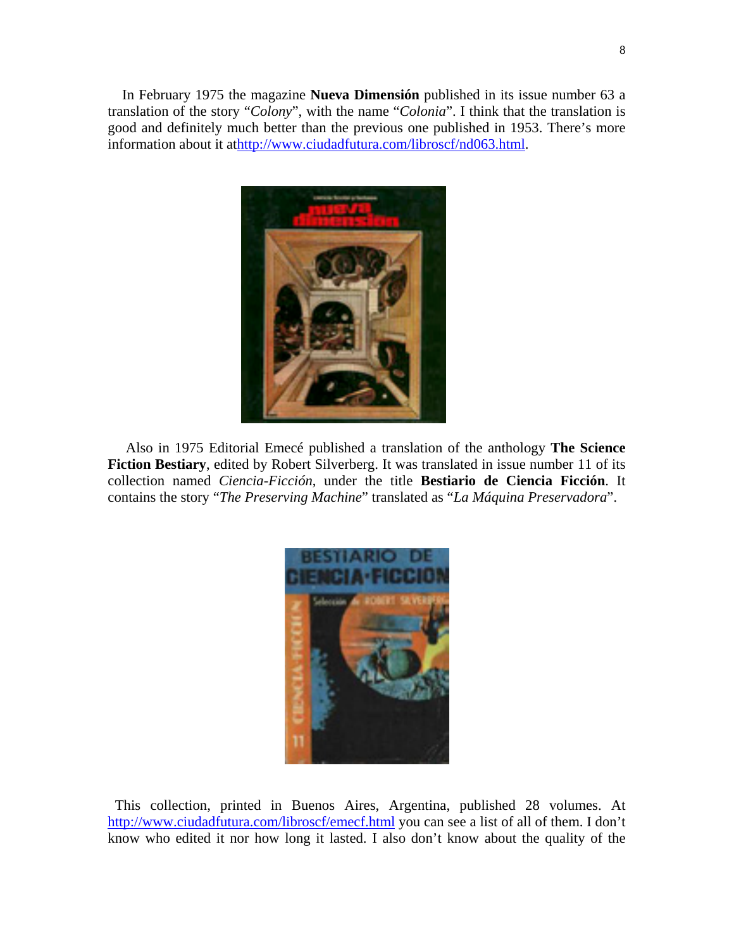In February 1975 the magazine **Nueva Dimensión** published in its issue number 63 a translation of the story "*Colony*", with the name "*Colonia*". I think that the translation is good and definitely much better than the previous one published in 1953. There's more information about it athttp://www.ciudadfutura.com/libroscf/nd063.html.



 Also in 1975 Editorial Emecé published a translation of the anthology **The Science Fiction Bestiary**, edited by Robert Silverberg. It was translated in issue number 11 of its collection named *Ciencia-Ficción*, under the title **Bestiario de Ciencia Ficción**. It contains the story "*The Preserving Machine*" translated as "*La Máquina Preservadora*".



 This collection, printed in Buenos Aires, Argentina, published 28 volumes. At http://www.ciudadfutura.com/libroscf/emecf.html you can see a list of all of them. I don't know who edited it nor how long it lasted. I also don't know about the quality of the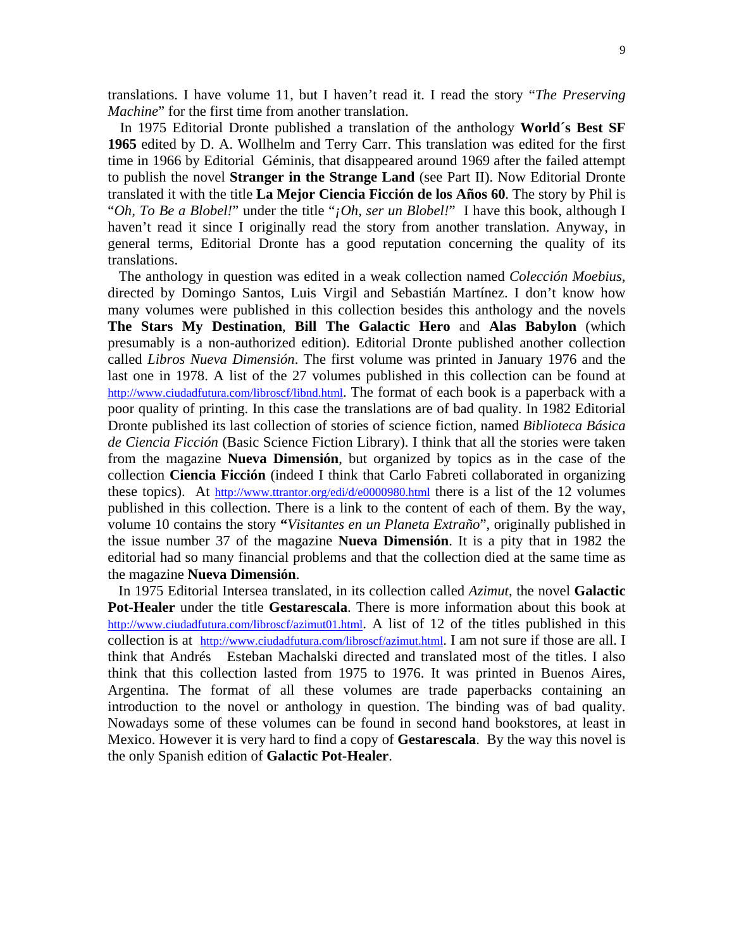translations. I have volume 11, but I haven't read it. I read the story "*The Preserving Machine*" for the first time from another translation.

 In 1975 Editorial Dronte published a translation of the anthology **World´s Best SF 1965** edited by D. A. Wollhelm and Terry Carr. This translation was edited for the first time in 1966 by Editorial Géminis, that disappeared around 1969 after the failed attempt to publish the novel **Stranger in the Strange Land** (see Part II). Now Editorial Dronte translated it with the title **La Mejor Ciencia Ficción de los Años 60**. The story by Phil is "*Oh, To Be a Blobel!*" under the title "*¡Oh, ser un Blobel!*" I have this book, although I haven't read it since I originally read the story from another translation. Anyway, in general terms, Editorial Dronte has a good reputation concerning the quality of its translations.

 The anthology in question was edited in a weak collection named *Colección Moebius*, directed by Domingo Santos, Luis Virgil and Sebastián Martínez. I don't know how many volumes were published in this collection besides this anthology and the novels **The Stars My Destination**, **Bill The Galactic Hero** and **Alas Babylon** (which presumably is a non-authorized edition). Editorial Dronte published another collection called *Libros Nueva Dimensión*. The first volume was printed in January 1976 and the last one in 1978. A list of the 27 volumes published in this collection can be found at http://www.ciudadfutura.com/libroscf/libnd.html. The format of each book is a paperback with a poor quality of printing. In this case the translations are of bad quality. In 1982 Editorial Dronte published its last collection of stories of science fiction, named *Biblioteca Básica de Ciencia Ficción* (Basic Science Fiction Library). I think that all the stories were taken from the magazine **Nueva Dimensión**, but organized by topics as in the case of the collection **Ciencia Ficción** (indeed I think that Carlo Fabreti collaborated in organizing these topics). At http://www.ttrantor.org/edi/d/e0000980.html there is a list of the 12 volumes published in this collection. There is a link to the content of each of them. By the way, volume 10 contains the story **"***Visitantes en un Planeta Extraño*", originally published in the issue number 37 of the magazine **Nueva Dimensión**. It is a pity that in 1982 the editorial had so many financial problems and that the collection died at the same time as the magazine **Nueva Dimensión**.

 In 1975 Editorial Intersea translated, in its collection called *Azimut*, the novel **Galactic Pot-Healer** under the title **Gestarescala**. There is more information about this book at http://www.ciudadfutura.com/libroscf/azimut01.html. A list of 12 of the titles published in this collection is at http://www.ciudadfutura.com/libroscf/azimut.html. I am not sure if those are all. I think that Andrés Esteban Machalski directed and translated most of the titles. I also think that this collection lasted from 1975 to 1976. It was printed in Buenos Aires, Argentina. The format of all these volumes are trade paperbacks containing an introduction to the novel or anthology in question. The binding was of bad quality. Nowadays some of these volumes can be found in second hand bookstores, at least in Mexico. However it is very hard to find a copy of **Gestarescala**. By the way this novel is the only Spanish edition of **Galactic Pot-Healer**.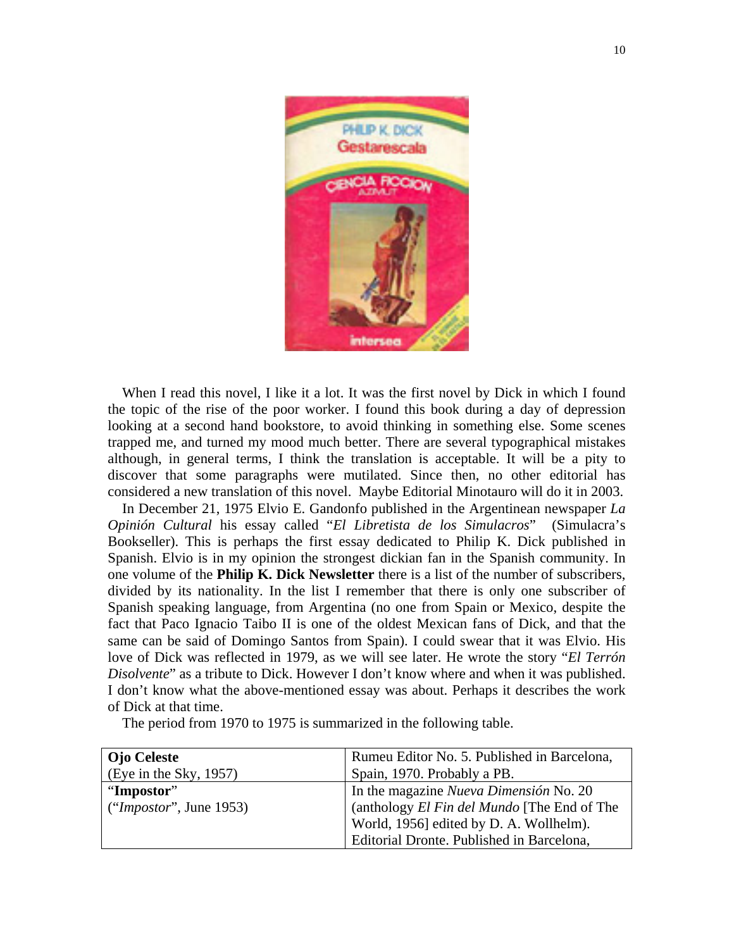

When I read this novel, I like it a lot. It was the first novel by Dick in which I found the topic of the rise of the poor worker. I found this book during a day of depression looking at a second hand bookstore, to avoid thinking in something else. Some scenes trapped me, and turned my mood much better. There are several typographical mistakes although, in general terms, I think the translation is acceptable. It will be a pity to discover that some paragraphs were mutilated. Since then, no other editorial has considered a new translation of this novel. Maybe Editorial Minotauro will do it in 2003.

 In December 21, 1975 Elvio E. Gandonfo published in the Argentinean newspaper *La Opinión Cultural* his essay called "*El Libretista de los Simulacros*" (Simulacra's Bookseller). This is perhaps the first essay dedicated to Philip K. Dick published in Spanish. Elvio is in my opinion the strongest dickian fan in the Spanish community. In one volume of the **Philip K. Dick Newsletter** there is a list of the number of subscribers, divided by its nationality. In the list I remember that there is only one subscriber of Spanish speaking language, from Argentina (no one from Spain or Mexico, despite the fact that Paco Ignacio Taibo II is one of the oldest Mexican fans of Dick, and that the same can be said of Domingo Santos from Spain). I could swear that it was Elvio. His love of Dick was reflected in 1979, as we will see later. He wrote the story "*El Terrón Disolvente*" as a tribute to Dick. However I don't know where and when it was published. I don't know what the above-mentioned essay was about. Perhaps it describes the work of Dick at that time.

The period from 1970 to 1975 is summarized in the following table.

| Ojo Celeste             | Rumeu Editor No. 5. Published in Barcelona, |
|-------------------------|---------------------------------------------|
| (Eye in the Sky, 1957)  | Spain, 1970. Probably a PB.                 |
| "Impostor"              | In the magazine Nueva Dimensión No. 20      |
| ("Importor", June 1953) | (anthology El Fin del Mundo [The End of The |
|                         | World, 1956] edited by D. A. Wollhelm).     |
|                         | Editorial Dronte. Published in Barcelona,   |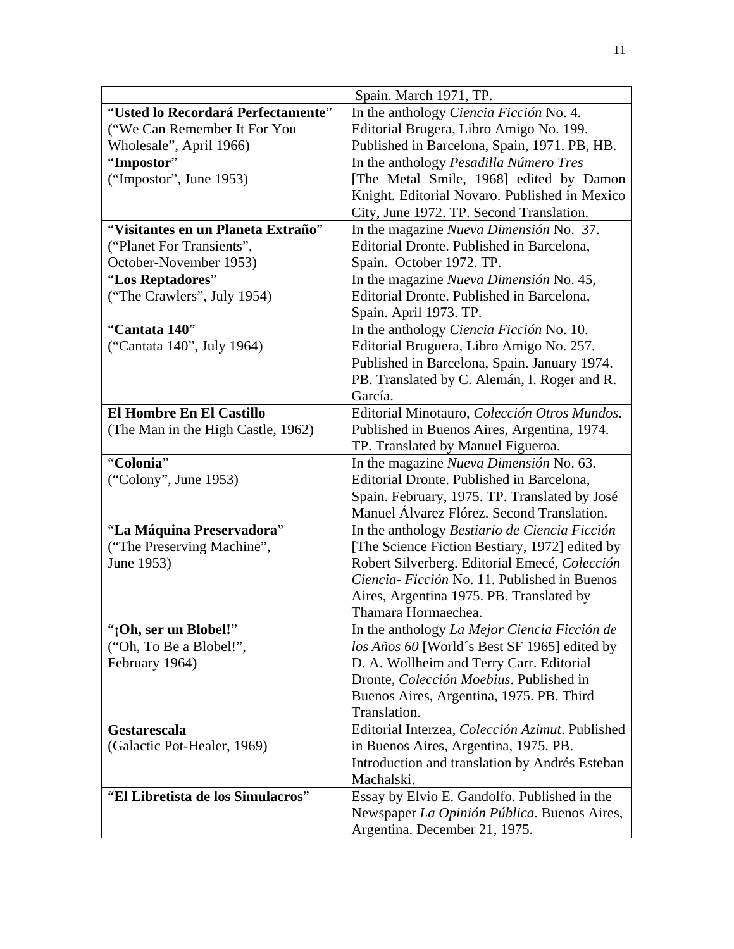|                                                    | Spain. March 1971, TP.                                       |
|----------------------------------------------------|--------------------------------------------------------------|
| "Usted lo Recordará Perfectamente"                 | In the anthology Ciencia Ficción No. 4.                      |
| ("We Can Remember It For You                       | Editorial Brugera, Libro Amigo No. 199.                      |
| Wholesale", April 1966)                            | Published in Barcelona, Spain, 1971. PB, HB.                 |
| "Impostor"                                         | In the anthology Pesadilla Número Tres                       |
| ("Impostor", June 1953)                            | [The Metal Smile, 1968] edited by Damon                      |
|                                                    | Knight. Editorial Novaro. Published in Mexico                |
|                                                    | City, June 1972. TP. Second Translation.                     |
| "Visitantes en un Planeta Extraño"                 | In the magazine <i>Nueva Dimensión</i> No. 37.               |
| ("Planet For Transients",                          | Editorial Dronte. Published in Barcelona,                    |
| October-November 1953)                             | Spain. October 1972. TP.                                     |
| "Los Reptadores"                                   | In the magazine Nueva Dimensión No. 45,                      |
| ("The Crawlers", July 1954)                        | Editorial Dronte. Published in Barcelona,                    |
|                                                    | Spain. April 1973. TP.                                       |
| "Cantata 140"                                      | In the anthology Ciencia Ficción No. 10.                     |
| ("Cantata 140", July 1964)                         | Editorial Bruguera, Libro Amigo No. 257.                     |
|                                                    | Published in Barcelona, Spain. January 1974.                 |
|                                                    | PB. Translated by C. Alemán, I. Roger and R.                 |
|                                                    | García.                                                      |
| El Hombre En El Castillo                           | Editorial Minotauro, Colección Otros Mundos.                 |
| (The Man in the High Castle, 1962)                 | Published in Buenos Aires, Argentina, 1974.                  |
|                                                    | TP. Translated by Manuel Figueroa.                           |
| "Colonia"                                          | In the magazine Nueva Dimensión No. 63.                      |
| ("Colony", June 1953)                              | Editorial Dronte. Published in Barcelona,                    |
|                                                    | Spain. February, 1975. TP. Translated by José                |
|                                                    | Manuel Álvarez Flórez. Second Translation.                   |
| "La Máquina Preservadora"                          | In the anthology Bestiario de Ciencia Ficción                |
| ("The Preserving Machine",                         | [The Science Fiction Bestiary, 1972] edited by               |
| June 1953)                                         | Robert Silverberg. Editorial Emecé, Colección                |
|                                                    | Ciencia- Ficción No. 11. Published in Buenos                 |
|                                                    | Aires, Argentina 1975. PB. Translated by                     |
|                                                    | Thamara Hormaechea.                                          |
| "¡Oh, ser un Blobel!"                              | In the anthology La Mejor Ciencia Ficción de                 |
| ("Oh, To Be a Blobel!",                            | los Años 60 [World's Best SF 1965] edited by                 |
| February 1964)                                     | D. A. Wollheim and Terry Carr. Editorial                     |
|                                                    | Dronte, Colección Moebius. Published in                      |
|                                                    | Buenos Aires, Argentina, 1975. PB. Third                     |
|                                                    | Translation.                                                 |
| <b>Gestarescala</b><br>(Galactic Pot-Healer, 1969) | Editorial Interzea, Colección Azimut. Published              |
|                                                    | in Buenos Aires, Argentina, 1975. PB.                        |
|                                                    | Introduction and translation by Andrés Esteban<br>Machalski. |
| "El Libretista de los Simulacros"                  |                                                              |
|                                                    | Essay by Elvio E. Gandolfo. Published in the                 |
|                                                    | Newspaper La Opinión Pública. Buenos Aires,                  |
|                                                    | Argentina. December 21, 1975.                                |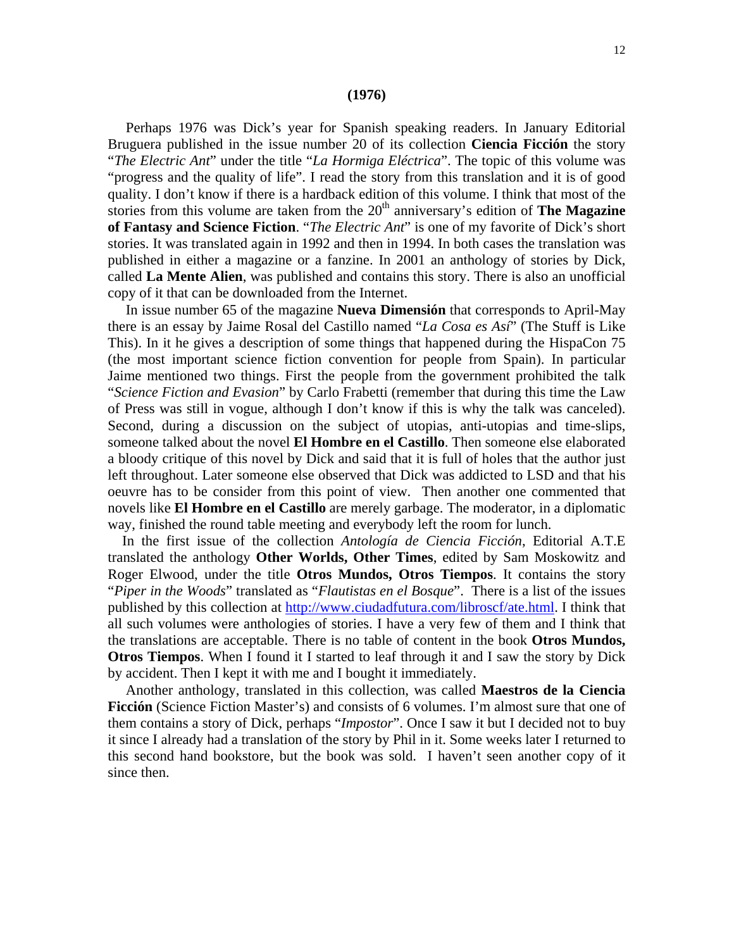#### **(1976)**

 Perhaps 1976 was Dick's year for Spanish speaking readers. In January Editorial Bruguera published in the issue number 20 of its collection **Ciencia Ficción** the story "*The Electric Ant*" under the title "*La Hormiga Eléctrica*". The topic of this volume was "progress and the quality of life". I read the story from this translation and it is of good quality. I don't know if there is a hardback edition of this volume. I think that most of the stories from this volume are taken from the 20<sup>th</sup> anniversary's edition of **The Magazine of Fantasy and Science Fiction**. "*The Electric Ant*" is one of my favorite of Dick's short stories. It was translated again in 1992 and then in 1994. In both cases the translation was published in either a magazine or a fanzine. In 2001 an anthology of stories by Dick, called **La Mente Alien**, was published and contains this story. There is also an unofficial copy of it that can be downloaded from the Internet.

 In issue number 65 of the magazine **Nueva Dimensión** that corresponds to April-May there is an essay by Jaime Rosal del Castillo named "*La Cosa es Así*" (The Stuff is Like This). In it he gives a description of some things that happened during the HispaCon 75 (the most important science fiction convention for people from Spain). In particular Jaime mentioned two things. First the people from the government prohibited the talk "*Science Fiction and Evasion*" by Carlo Frabetti (remember that during this time the Law of Press was still in vogue, although I don't know if this is why the talk was canceled). Second, during a discussion on the subject of utopias, anti-utopias and time-slips, someone talked about the novel **El Hombre en el Castillo**. Then someone else elaborated a bloody critique of this novel by Dick and said that it is full of holes that the author just left throughout. Later someone else observed that Dick was addicted to LSD and that his oeuvre has to be consider from this point of view. Then another one commented that novels like **El Hombre en el Castillo** are merely garbage. The moderator, in a diplomatic way, finished the round table meeting and everybody left the room for lunch.

 In the first issue of the collection *Antología de Ciencia Ficción*, Editorial A.T.E translated the anthology **Other Worlds, Other Times**, edited by Sam Moskowitz and Roger Elwood, under the title **Otros Mundos, Otros Tiempos**. It contains the story "*Piper in the Woods*" translated as "*Flautistas en el Bosque*". There is a list of the issues published by this collection at http://www.ciudadfutura.com/libroscf/ate.html. I think that all such volumes were anthologies of stories. I have a very few of them and I think that the translations are acceptable. There is no table of content in the book **Otros Mundos, Otros Tiempos**. When I found it I started to leaf through it and I saw the story by Dick by accident. Then I kept it with me and I bought it immediately.

 Another anthology, translated in this collection, was called **Maestros de la Ciencia Ficción** (Science Fiction Master's) and consists of 6 volumes. I'm almost sure that one of them contains a story of Dick, perhaps "*Impostor*". Once I saw it but I decided not to buy it since I already had a translation of the story by Phil in it. Some weeks later I returned to this second hand bookstore, but the book was sold. I haven't seen another copy of it since then.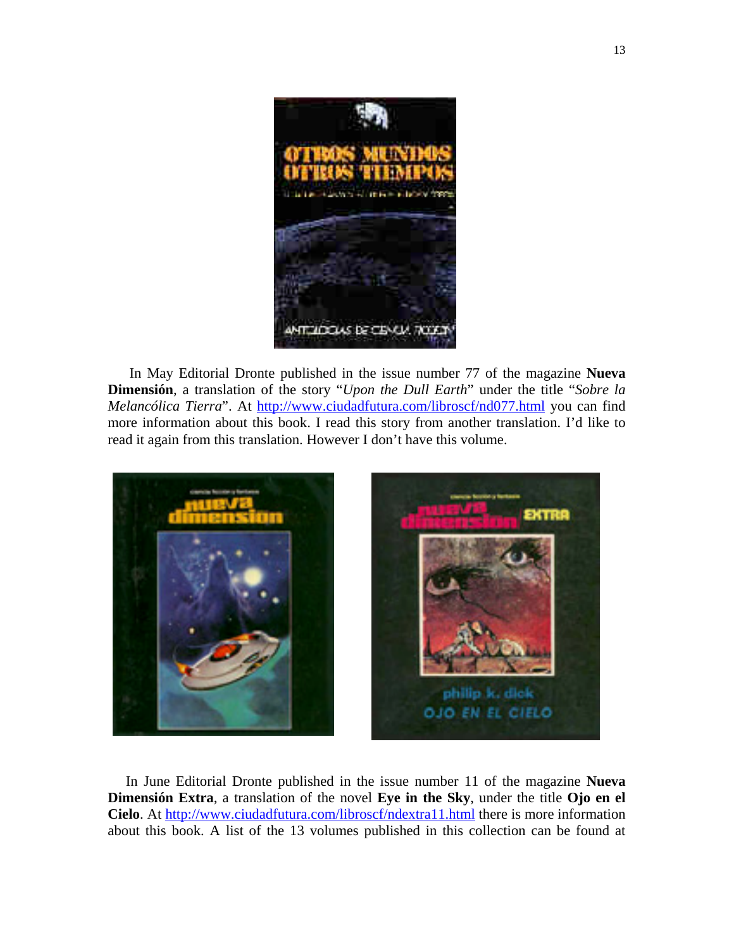

 In May Editorial Dronte published in the issue number 77 of the magazine **Nueva Dimensión**, a translation of the story "*Upon the Dull Earth*" under the title "*Sobre la Melancólica Tierra*". At http://www.ciudadfutura.com/libroscf/nd077.html you can find more information about this book. I read this story from another translation. I'd like to read it again from this translation. However I don't have this volume.



 In June Editorial Dronte published in the issue number 11 of the magazine **Nueva Dimensión Extra**, a translation of the novel **Eye in the Sky**, under the title **Ojo en el Cielo**. At http://www.ciudadfutura.com/libroscf/ndextra11.html there is more information about this book. A list of the 13 volumes published in this collection can be found at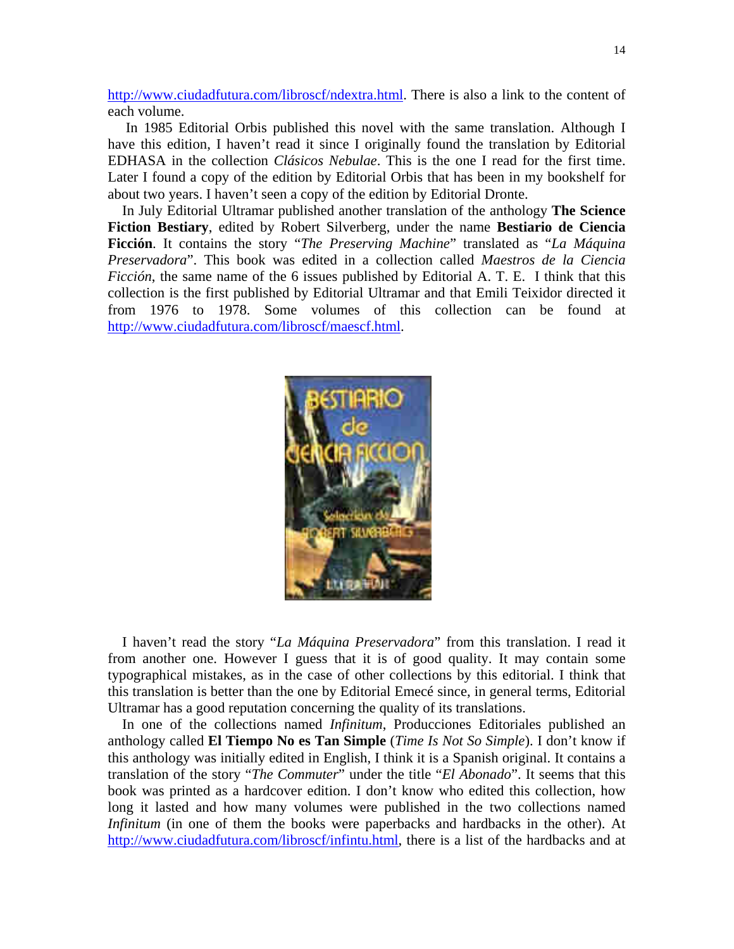http://www.ciudadfutura.com/libroscf/ndextra.html. There is also a link to the content of each volume.

 In 1985 Editorial Orbis published this novel with the same translation. Although I have this edition, I haven't read it since I originally found the translation by Editorial EDHASA in the collection *Clásicos Nebulae*. This is the one I read for the first time. Later I found a copy of the edition by Editorial Orbis that has been in my bookshelf for about two years. I haven't seen a copy of the edition by Editorial Dronte.

 In July Editorial Ultramar published another translation of the anthology **The Science Fiction Bestiary**, edited by Robert Silverberg, under the name **Bestiario de Ciencia Ficción**. It contains the story "*The Preserving Machine*" translated as "*La Máquina Preservadora*". This book was edited in a collection called *Maestros de la Ciencia Ficción*, the same name of the 6 issues published by Editorial A. T. E. I think that this collection is the first published by Editorial Ultramar and that Emili Teixidor directed it from 1976 to 1978. Some volumes of this collection can be found at http://www.ciudadfutura.com/libroscf/maescf.html.



 I haven't read the story "*La Máquina Preservadora*" from this translation. I read it from another one. However I guess that it is of good quality. It may contain some typographical mistakes, as in the case of other collections by this editorial. I think that this translation is better than the one by Editorial Emecé since, in general terms, Editorial Ultramar has a good reputation concerning the quality of its translations.

 In one of the collections named *Infinitum*, Producciones Editoriales published an anthology called **El Tiempo No es Tan Simple** (*Time Is Not So Simple*). I don't know if this anthology was initially edited in English, I think it is a Spanish original. It contains a translation of the story "*The Commuter*" under the title "*El Abonado*". It seems that this book was printed as a hardcover edition. I don't know who edited this collection, how long it lasted and how many volumes were published in the two collections named *Infinitum* (in one of them the books were paperbacks and hardbacks in the other). At http://www.ciudadfutura.com/libroscf/infintu.html, there is a list of the hardbacks and at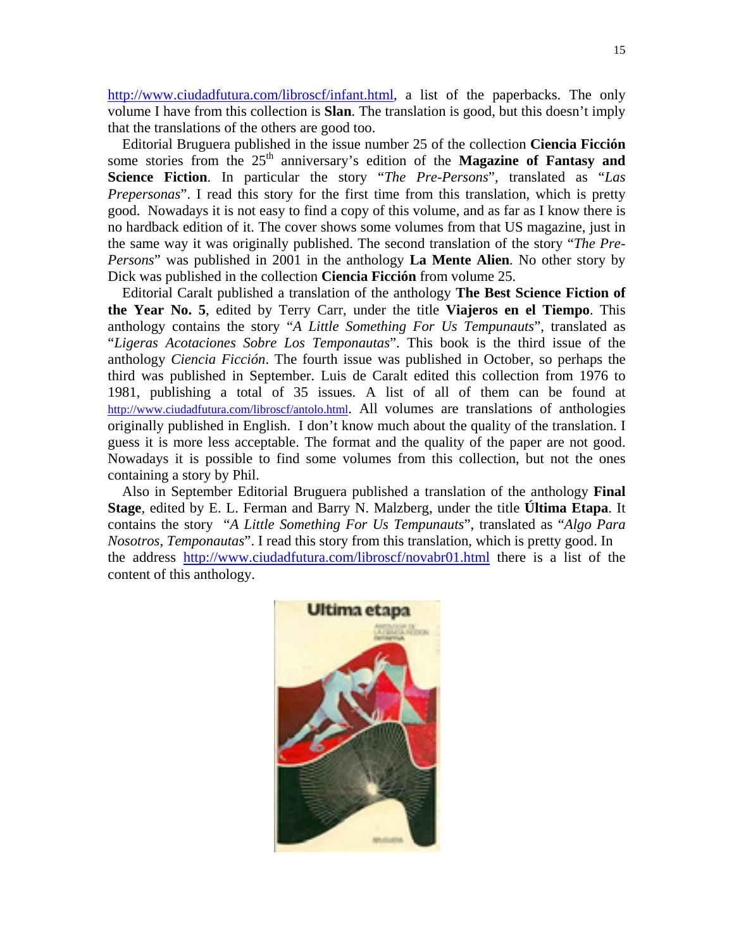http://www.ciudadfutura.com/libroscf/infant.html, a list of the paperbacks. The only volume I have from this collection is **Slan**. The translation is good, but this doesn't imply that the translations of the others are good too.

 Editorial Bruguera published in the issue number 25 of the collection **Ciencia Ficción** some stories from the 25<sup>th</sup> anniversary's edition of the **Magazine of Fantasy and Science Fiction**. In particular the story "*The Pre-Persons*", translated as "*Las Prepersonas*". I read this story for the first time from this translation, which is pretty good. Nowadays it is not easy to find a copy of this volume, and as far as I know there is no hardback edition of it. The cover shows some volumes from that US magazine, just in the same way it was originally published. The second translation of the story "*The Pre-Persons*" was published in 2001 in the anthology **La Mente Alien**. No other story by Dick was published in the collection **Ciencia Ficción** from volume 25.

 Editorial Caralt published a translation of the anthology **The Best Science Fiction of the Year No. 5**, edited by Terry Carr, under the title **Viajeros en el Tiempo**. This anthology contains the story "*A Little Something For Us Tempunauts*", translated as "*Ligeras Acotaciones Sobre Los Temponautas*". This book is the third issue of the anthology *Ciencia Ficción*. The fourth issue was published in October, so perhaps the third was published in September. Luis de Caralt edited this collection from 1976 to 1981, publishing a total of 35 issues. A list of all of them can be found at http://www.ciudadfutura.com/libroscf/antolo.html. All volumes are translations of anthologies originally published in English. I don't know much about the quality of the translation. I guess it is more less acceptable. The format and the quality of the paper are not good. Nowadays it is possible to find some volumes from this collection, but not the ones containing a story by Phil.

 Also in September Editorial Bruguera published a translation of the anthology **Final Stage**, edited by E. L. Ferman and Barry N. Malzberg, under the title **Última Etapa**. It contains the story "*A Little Something For Us Tempunauts*", translated as "*Algo Para Nosotros, Temponautas*". I read this story from this translation, which is pretty good. In the address http://www.ciudadfutura.com/libroscf/novabr01.html there is a list of the content of this anthology.

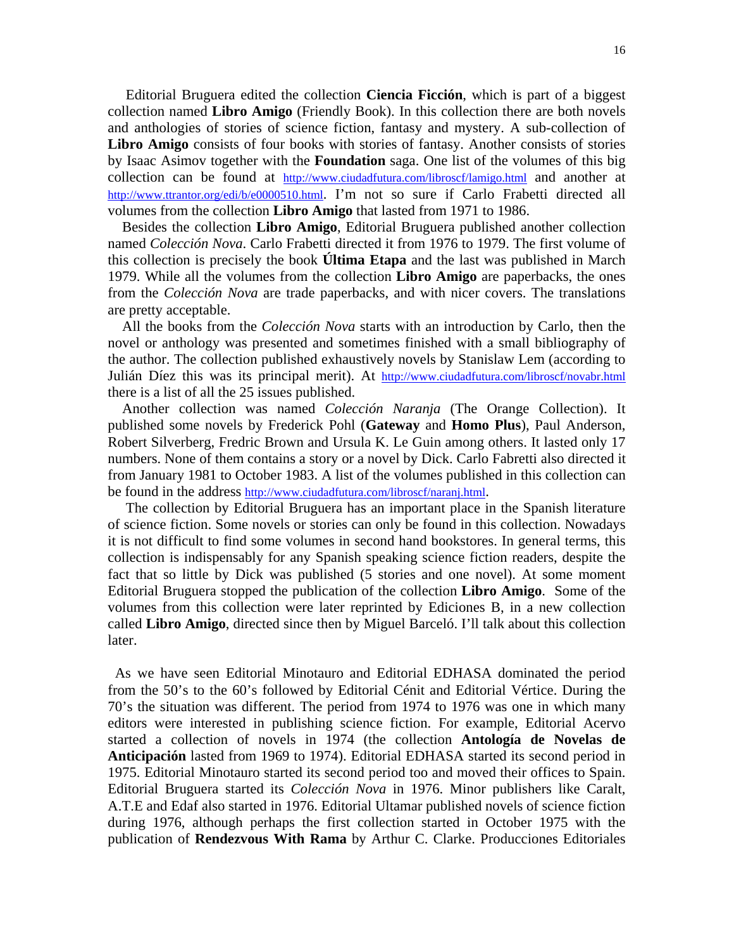Editorial Bruguera edited the collection **Ciencia Ficción**, which is part of a biggest collection named **Libro Amigo** (Friendly Book). In this collection there are both novels and anthologies of stories of science fiction, fantasy and mystery. A sub-collection of **Libro Amigo** consists of four books with stories of fantasy. Another consists of stories by Isaac Asimov together with the **Foundation** saga. One list of the volumes of this big collection can be found at http://www.ciudadfutura.com/libroscf/lamigo.html and another at http://www.ttrantor.org/edi/b/e0000510.html. I'm not so sure if Carlo Frabetti directed all volumes from the collection **Libro Amigo** that lasted from 1971 to 1986.

 Besides the collection **Libro Amigo**, Editorial Bruguera published another collection named *Colección Nova*. Carlo Frabetti directed it from 1976 to 1979. The first volume of this collection is precisely the book **Última Etapa** and the last was published in March 1979. While all the volumes from the collection **Libro Amigo** are paperbacks, the ones from the *Colección Nova* are trade paperbacks, and with nicer covers. The translations are pretty acceptable.

 All the books from the *Colección Nova* starts with an introduction by Carlo, then the novel or anthology was presented and sometimes finished with a small bibliography of the author. The collection published exhaustively novels by Stanislaw Lem (according to Julián Díez this was its principal merit). At http://www.ciudadfutura.com/libroscf/novabr.html there is a list of all the 25 issues published.

 Another collection was named *Colección Naranja* (The Orange Collection). It published some novels by Frederick Pohl (**Gateway** and **Homo Plus**), Paul Anderson, Robert Silverberg, Fredric Brown and Ursula K. Le Guin among others. It lasted only 17 numbers. None of them contains a story or a novel by Dick. Carlo Fabretti also directed it from January 1981 to October 1983. A list of the volumes published in this collection can be found in the address http://www.ciudadfutura.com/libroscf/naranj.html.

 The collection by Editorial Bruguera has an important place in the Spanish literature of science fiction. Some novels or stories can only be found in this collection. Nowadays it is not difficult to find some volumes in second hand bookstores. In general terms, this collection is indispensably for any Spanish speaking science fiction readers, despite the fact that so little by Dick was published (5 stories and one novel). At some moment Editorial Bruguera stopped the publication of the collection **Libro Amigo**. Some of the volumes from this collection were later reprinted by Ediciones B, in a new collection called **Libro Amigo**, directed since then by Miguel Barceló. I'll talk about this collection later.

 As we have seen Editorial Minotauro and Editorial EDHASA dominated the period from the 50's to the 60's followed by Editorial Cénit and Editorial Vértice. During the 70's the situation was different. The period from 1974 to 1976 was one in which many editors were interested in publishing science fiction. For example, Editorial Acervo started a collection of novels in 1974 (the collection **Antología de Novelas de Anticipación** lasted from 1969 to 1974). Editorial EDHASA started its second period in 1975. Editorial Minotauro started its second period too and moved their offices to Spain. Editorial Bruguera started its *Colección Nova* in 1976. Minor publishers like Caralt, A.T.E and Edaf also started in 1976. Editorial Ultamar published novels of science fiction during 1976, although perhaps the first collection started in October 1975 with the publication of **Rendezvous With Rama** by Arthur C. Clarke. Producciones Editoriales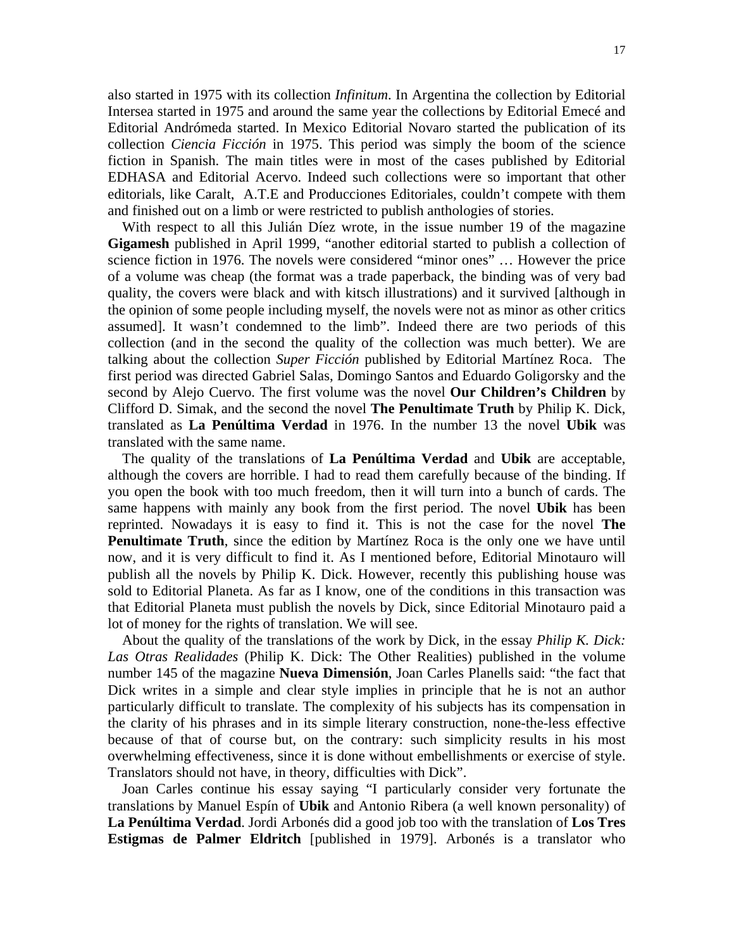also started in 1975 with its collection *Infinitum*. In Argentina the collection by Editorial Intersea started in 1975 and around the same year the collections by Editorial Emecé and Editorial Andrómeda started. In Mexico Editorial Novaro started the publication of its collection *Ciencia Ficción* in 1975. This period was simply the boom of the science fiction in Spanish. The main titles were in most of the cases published by Editorial EDHASA and Editorial Acervo. Indeed such collections were so important that other editorials, like Caralt, A.T.E and Producciones Editoriales, couldn't compete with them and finished out on a limb or were restricted to publish anthologies of stories.

 With respect to all this Julián Díez wrote, in the issue number 19 of the magazine **Gigamesh** published in April 1999, "another editorial started to publish a collection of science fiction in 1976. The novels were considered "minor ones" … However the price of a volume was cheap (the format was a trade paperback, the binding was of very bad quality, the covers were black and with kitsch illustrations) and it survived [although in the opinion of some people including myself, the novels were not as minor as other critics assumed]. It wasn't condemned to the limb". Indeed there are two periods of this collection (and in the second the quality of the collection was much better). We are talking about the collection *Super Ficción* published by Editorial Martínez Roca. The first period was directed Gabriel Salas, Domingo Santos and Eduardo Goligorsky and the second by Alejo Cuervo. The first volume was the novel **Our Children's Children** by Clifford D. Simak, and the second the novel **The Penultimate Truth** by Philip K. Dick, translated as **La Penúltima Verdad** in 1976. In the number 13 the novel **Ubik** was translated with the same name.

 The quality of the translations of **La Penúltima Verdad** and **Ubik** are acceptable, although the covers are horrible. I had to read them carefully because of the binding. If you open the book with too much freedom, then it will turn into a bunch of cards. The same happens with mainly any book from the first period. The novel **Ubik** has been reprinted. Nowadays it is easy to find it. This is not the case for the novel **The Penultimate Truth**, since the edition by Martínez Roca is the only one we have until now, and it is very difficult to find it. As I mentioned before, Editorial Minotauro will publish all the novels by Philip K. Dick. However, recently this publishing house was sold to Editorial Planeta. As far as I know, one of the conditions in this transaction was that Editorial Planeta must publish the novels by Dick, since Editorial Minotauro paid a lot of money for the rights of translation. We will see.

 About the quality of the translations of the work by Dick, in the essay *Philip K. Dick: Las Otras Realidades* (Philip K. Dick: The Other Realities) published in the volume number 145 of the magazine **Nueva Dimensión**, Joan Carles Planells said: "the fact that Dick writes in a simple and clear style implies in principle that he is not an author particularly difficult to translate. The complexity of his subjects has its compensation in the clarity of his phrases and in its simple literary construction, none-the-less effective because of that of course but, on the contrary: such simplicity results in his most overwhelming effectiveness, since it is done without embellishments or exercise of style. Translators should not have, in theory, difficulties with Dick".

 Joan Carles continue his essay saying "I particularly consider very fortunate the translations by Manuel Espín of **Ubik** and Antonio Ribera (a well known personality) of **La Penúltima Verdad**. Jordi Arbonés did a good job too with the translation of **Los Tres Estigmas de Palmer Eldritch** [published in 1979]. Arbonés is a translator who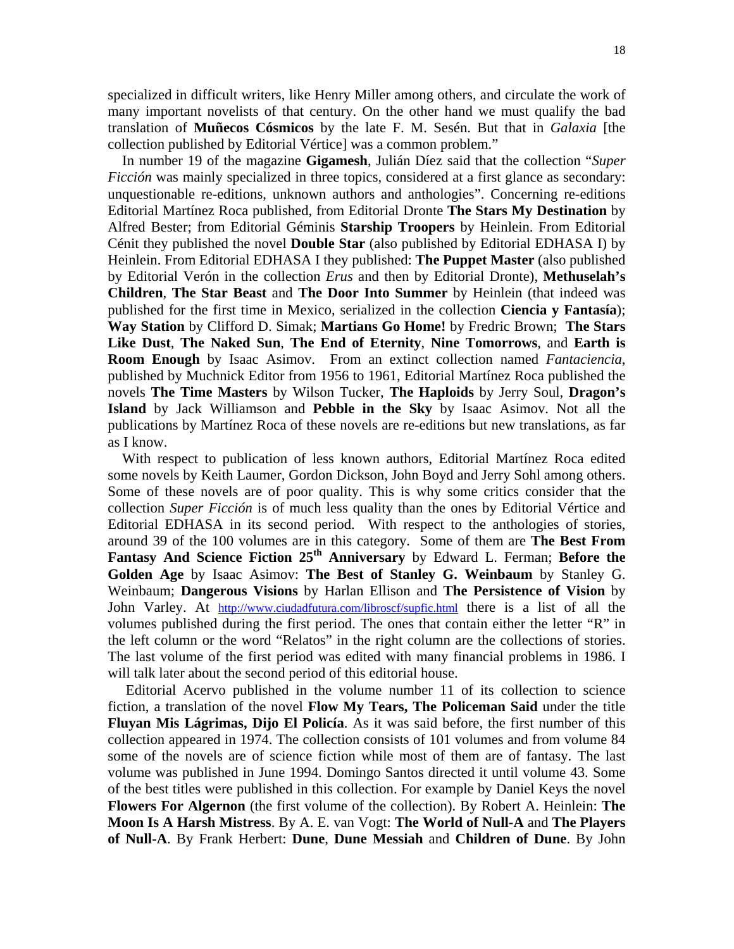specialized in difficult writers, like Henry Miller among others, and circulate the work of many important novelists of that century. On the other hand we must qualify the bad translation of **Muñecos Cósmicos** by the late F. M. Sesén. But that in *Galaxia* [the collection published by Editorial Vértice] was a common problem."

 In number 19 of the magazine **Gigamesh**, Julián Díez said that the collection "*Super Ficción* was mainly specialized in three topics, considered at a first glance as secondary: unquestionable re-editions, unknown authors and anthologies". Concerning re-editions Editorial Martínez Roca published, from Editorial Dronte **The Stars My Destination** by Alfred Bester; from Editorial Géminis **Starship Troopers** by Heinlein. From Editorial Cénit they published the novel **Double Star** (also published by Editorial EDHASA I) by Heinlein. From Editorial EDHASA I they published: **The Puppet Master** (also published by Editorial Verón in the collection *Erus* and then by Editorial Dronte), **Methuselah's Children**, **The Star Beast** and **The Door Into Summer** by Heinlein (that indeed was published for the first time in Mexico, serialized in the collection **Ciencia y Fantasía**); **Way Station** by Clifford D. Simak; **Martians Go Home!** by Fredric Brown; **The Stars Like Dust**, **The Naked Sun**, **The End of Eternity**, **Nine Tomorrows**, and **Earth is Room Enough** by Isaac Asimov. From an extinct collection named *Fantaciencia*, published by Muchnick Editor from 1956 to 1961, Editorial Martínez Roca published the novels **The Time Masters** by Wilson Tucker, **The Haploids** by Jerry Soul, **Dragon's Island** by Jack Williamson and **Pebble in the Sky** by Isaac Asimov. Not all the publications by Martínez Roca of these novels are re-editions but new translations, as far as I know.

 With respect to publication of less known authors, Editorial Martínez Roca edited some novels by Keith Laumer, Gordon Dickson, John Boyd and Jerry Sohl among others. Some of these novels are of poor quality. This is why some critics consider that the collection *Super Ficción* is of much less quality than the ones by Editorial Vértice and Editorial EDHASA in its second period. With respect to the anthologies of stories, around 39 of the 100 volumes are in this category. Some of them are **The Best From Fantasy And Science Fiction 25th Anniversary** by Edward L. Ferman; **Before the Golden Age** by Isaac Asimov: **The Best of Stanley G. Weinbaum** by Stanley G. Weinbaum; **Dangerous Visions** by Harlan Ellison and **The Persistence of Vision** by John Varley. At http://www.ciudadfutura.com/libroscf/supfic.html there is a list of all the volumes published during the first period. The ones that contain either the letter "R" in the left column or the word "Relatos" in the right column are the collections of stories. The last volume of the first period was edited with many financial problems in 1986. I will talk later about the second period of this editorial house.

 Editorial Acervo published in the volume number 11 of its collection to science fiction, a translation of the novel **Flow My Tears, The Policeman Said** under the title **Fluyan Mis Lágrimas, Dijo El Policía**. As it was said before, the first number of this collection appeared in 1974. The collection consists of 101 volumes and from volume 84 some of the novels are of science fiction while most of them are of fantasy. The last volume was published in June 1994. Domingo Santos directed it until volume 43. Some of the best titles were published in this collection. For example by Daniel Keys the novel **Flowers For Algernon** (the first volume of the collection). By Robert A. Heinlein: **The Moon Is A Harsh Mistress**. By A. E. van Vogt: **The World of Null-A** and **The Players of Null-A**. By Frank Herbert: **Dune**, **Dune Messiah** and **Children of Dune**. By John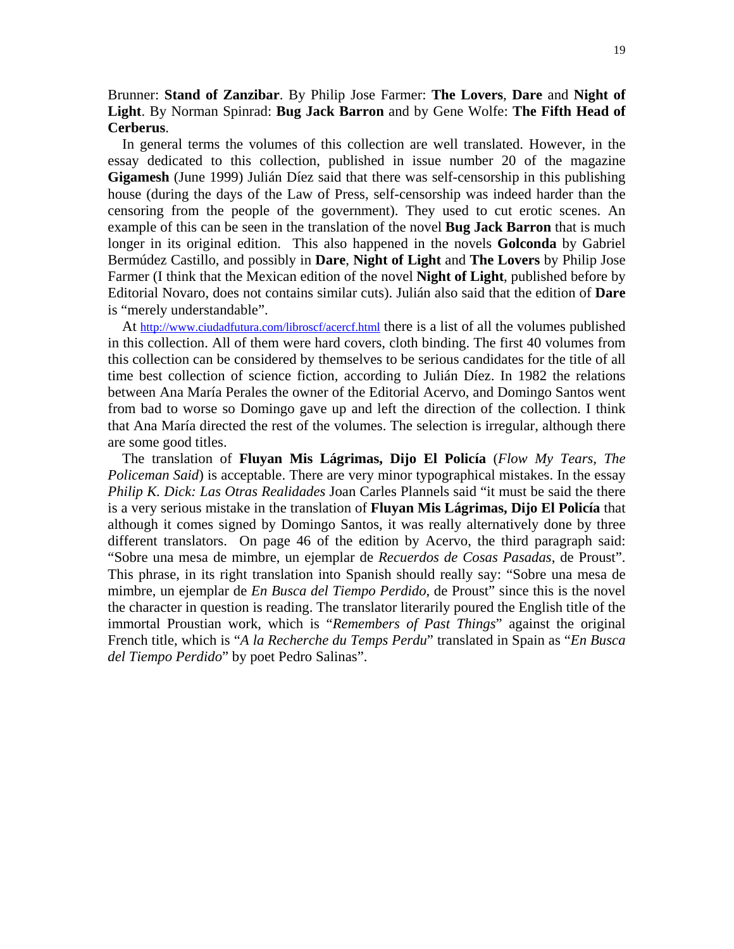## Brunner: **Stand of Zanzibar**. By Philip Jose Farmer: **The Lovers**, **Dare** and **Night of Light**. By Norman Spinrad: **Bug Jack Barron** and by Gene Wolfe: **The Fifth Head of Cerberus**.

 In general terms the volumes of this collection are well translated. However, in the essay dedicated to this collection, published in issue number 20 of the magazine **Gigamesh** (June 1999) Julián Díez said that there was self-censorship in this publishing house (during the days of the Law of Press, self-censorship was indeed harder than the censoring from the people of the government). They used to cut erotic scenes. An example of this can be seen in the translation of the novel **Bug Jack Barron** that is much longer in its original edition. This also happened in the novels **Golconda** by Gabriel Bermúdez Castillo, and possibly in **Dare**, **Night of Light** and **The Lovers** by Philip Jose Farmer (I think that the Mexican edition of the novel **Night of Light**, published before by Editorial Novaro, does not contains similar cuts). Julián also said that the edition of **Dare** is "merely understandable".

At http://www.ciudadfutura.com/libroscf/acercf.html there is a list of all the volumes published in this collection. All of them were hard covers, cloth binding. The first 40 volumes from this collection can be considered by themselves to be serious candidates for the title of all time best collection of science fiction, according to Julián Díez. In 1982 the relations between Ana María Perales the owner of the Editorial Acervo, and Domingo Santos went from bad to worse so Domingo gave up and left the direction of the collection. I think that Ana María directed the rest of the volumes. The selection is irregular, although there are some good titles.

 The translation of **Fluyan Mis Lágrimas, Dijo El Policía** (*Flow My Tears, The Policeman Said*) is acceptable. There are very minor typographical mistakes. In the essay *Philip K. Dick: Las Otras Realidades* Joan Carles Plannels said "it must be said the there is a very serious mistake in the translation of **Fluyan Mis Lágrimas, Dijo El Policía** that although it comes signed by Domingo Santos, it was really alternatively done by three different translators. On page 46 of the edition by Acervo, the third paragraph said: "Sobre una mesa de mimbre, un ejemplar de *Recuerdos de Cosas Pasadas*, de Proust". This phrase, in its right translation into Spanish should really say: "Sobre una mesa de mimbre, un ejemplar de *En Busca del Tiempo Perdido*, de Proust" since this is the novel the character in question is reading. The translator literarily poured the English title of the immortal Proustian work, which is "*Remembers of Past Things*" against the original French title, which is "*A la Recherche du Temps Perdu*" translated in Spain as "*En Busca del Tiempo Perdido*" by poet Pedro Salinas".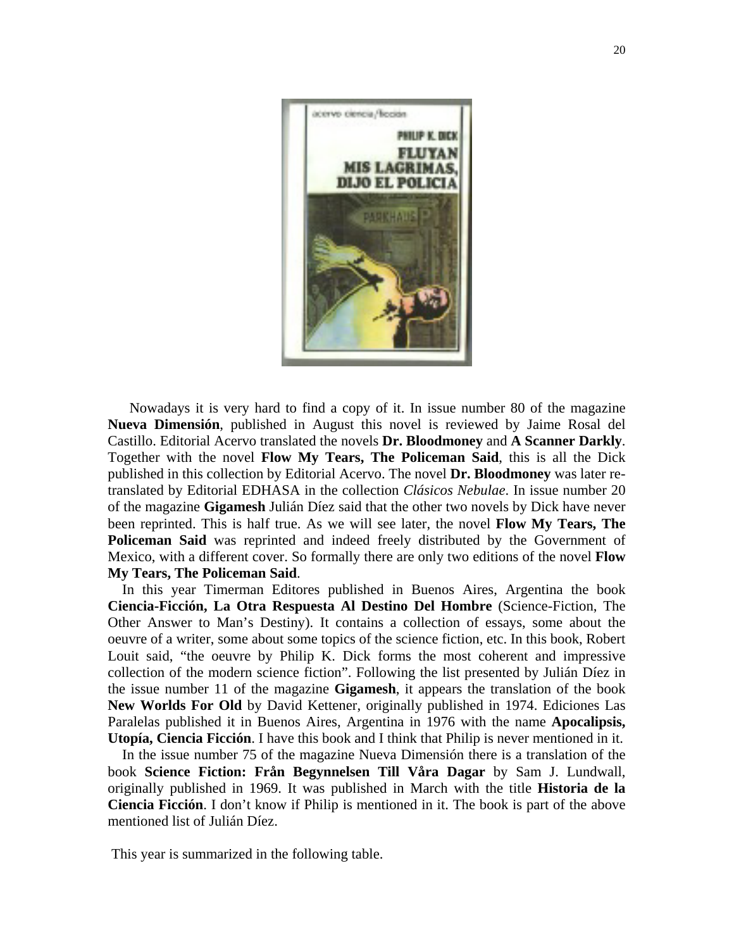

 Nowadays it is very hard to find a copy of it. In issue number 80 of the magazine **Nueva Dimensión**, published in August this novel is reviewed by Jaime Rosal del Castillo. Editorial Acervo translated the novels **Dr. Bloodmoney** and **A Scanner Darkly**. Together with the novel **Flow My Tears, The Policeman Said**, this is all the Dick published in this collection by Editorial Acervo. The novel **Dr. Bloodmoney** was later retranslated by Editorial EDHASA in the collection *Clásicos Nebulae*. In issue number 20 of the magazine **Gigamesh** Julián Díez said that the other two novels by Dick have never been reprinted. This is half true. As we will see later, the novel **Flow My Tears, The Policeman Said** was reprinted and indeed freely distributed by the Government of Mexico, with a different cover. So formally there are only two editions of the novel **Flow My Tears, The Policeman Said**.

 In this year Timerman Editores published in Buenos Aires, Argentina the book **Ciencia-Ficción, La Otra Respuesta Al Destino Del Hombre** (Science-Fiction, The Other Answer to Man's Destiny). It contains a collection of essays, some about the oeuvre of a writer, some about some topics of the science fiction, etc. In this book, Robert Louit said, "the oeuvre by Philip K. Dick forms the most coherent and impressive collection of the modern science fiction". Following the list presented by Julián Díez in the issue number 11 of the magazine **Gigamesh**, it appears the translation of the book **New Worlds For Old** by David Kettener, originally published in 1974. Ediciones Las Paralelas published it in Buenos Aires, Argentina in 1976 with the name **Apocalipsis, Utopía, Ciencia Ficción**. I have this book and I think that Philip is never mentioned in it.

 In the issue number 75 of the magazine Nueva Dimensión there is a translation of the book **Science Fiction: Från Begynnelsen Till Våra Dagar** by Sam J. Lundwall, originally published in 1969. It was published in March with the title **Historia de la Ciencia Ficción**. I don't know if Philip is mentioned in it. The book is part of the above mentioned list of Julián Díez.

This year is summarized in the following table.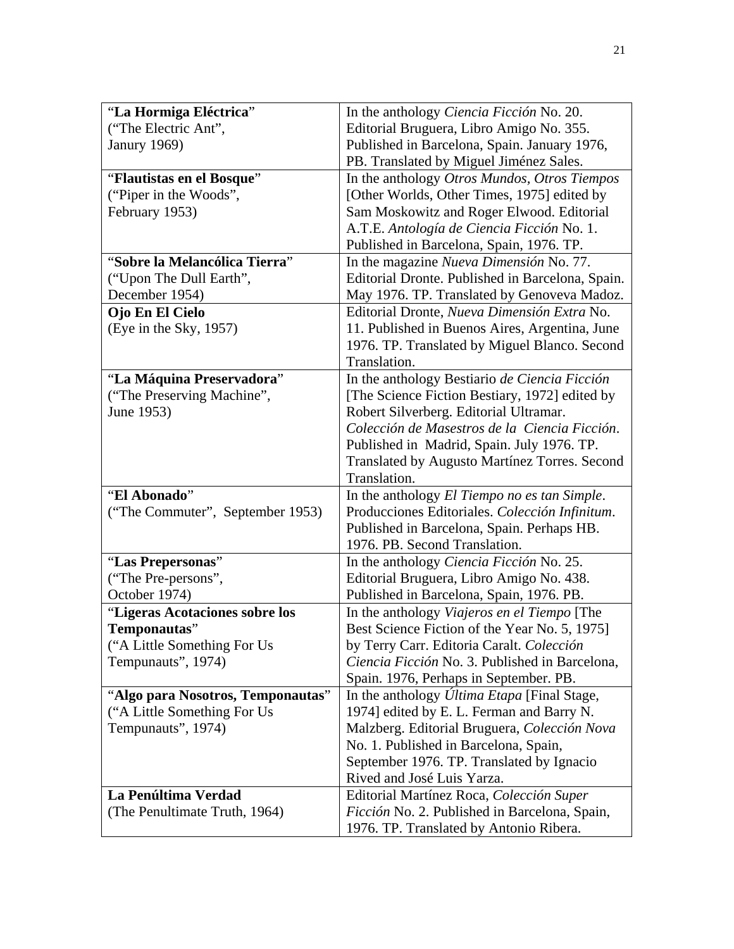| "La Hormiga Eléctrica"            | In the anthology Ciencia Ficción No. 20.                      |
|-----------------------------------|---------------------------------------------------------------|
| ("The Electric Ant",              | Editorial Bruguera, Libro Amigo No. 355.                      |
| <b>Janury 1969)</b>               | Published in Barcelona, Spain. January 1976,                  |
|                                   | PB. Translated by Miguel Jiménez Sales.                       |
| "Flautistas en el Bosque"         | In the anthology Otros Mundos, Otros Tiempos                  |
| ("Piper in the Woods",            | [Other Worlds, Other Times, 1975] edited by                   |
| February 1953)                    | Sam Moskowitz and Roger Elwood. Editorial                     |
|                                   | A.T.E. Antología de Ciencia Ficción No. 1.                    |
|                                   | Published in Barcelona, Spain, 1976. TP.                      |
| "Sobre la Melancólica Tierra"     | In the magazine Nueva Dimensión No. 77.                       |
| ("Upon The Dull Earth",           | Editorial Dronte. Published in Barcelona, Spain.              |
| December 1954)                    | May 1976. TP. Translated by Genoveva Madoz.                   |
| Ojo En El Cielo                   | Editorial Dronte, Nueva Dimensión Extra No.                   |
| (Eye in the Sky, 1957)            | 11. Published in Buenos Aires, Argentina, June                |
|                                   | 1976. TP. Translated by Miguel Blanco. Second                 |
|                                   | Translation.                                                  |
| "La Máquina Preservadora"         | In the anthology Bestiario de Ciencia Ficción                 |
| ("The Preserving Machine",        | [The Science Fiction Bestiary, 1972] edited by                |
| June 1953)                        | Robert Silverberg. Editorial Ultramar.                        |
|                                   | Colección de Masestros de la Ciencia Ficción.                 |
|                                   | Published in Madrid, Spain. July 1976. TP.                    |
|                                   | Translated by Augusto Martínez Torres. Second<br>Translation. |
| "El Abonado"                      | In the anthology El Tiempo no es tan Simple.                  |
| ("The Commuter", September 1953)  | Producciones Editoriales. Colección Infinitum.                |
|                                   | Published in Barcelona, Spain. Perhaps HB.                    |
|                                   | 1976. PB. Second Translation.                                 |
| "Las Prepersonas"                 | In the anthology Ciencia Ficción No. 25.                      |
| ("The Pre-persons",               | Editorial Bruguera, Libro Amigo No. 438.                      |
| October 1974)                     | Published in Barcelona, Spain, 1976. PB.                      |
| "Ligeras Acotaciones sobre los    | In the anthology Viajeros en el Tiempo [The                   |
| Temponautas"                      | Best Science Fiction of the Year No. 5, 1975]                 |
| ("A Little Something For Us       | by Terry Carr. Editoria Caralt. Colección                     |
| Tempunauts", 1974)                | Ciencia Ficción No. 3. Published in Barcelona,                |
|                                   | Spain. 1976, Perhaps in September. PB.                        |
| "Algo para Nosotros, Temponautas" | In the anthology <i>Última Etapa</i> [Final Stage,            |
| "A Little Something For Us"       | 1974] edited by E. L. Ferman and Barry N.                     |
| Tempunauts", 1974)                | Malzberg. Editorial Bruguera, Colección Nova                  |
|                                   | No. 1. Published in Barcelona, Spain,                         |
|                                   | September 1976. TP. Translated by Ignacio                     |
|                                   | Rived and José Luis Yarza.                                    |
| La Penúltima Verdad               | Editorial Martínez Roca, Colección Super                      |
| (The Penultimate Truth, 1964)     | Ficción No. 2. Published in Barcelona, Spain,                 |
|                                   | 1976. TP. Translated by Antonio Ribera.                       |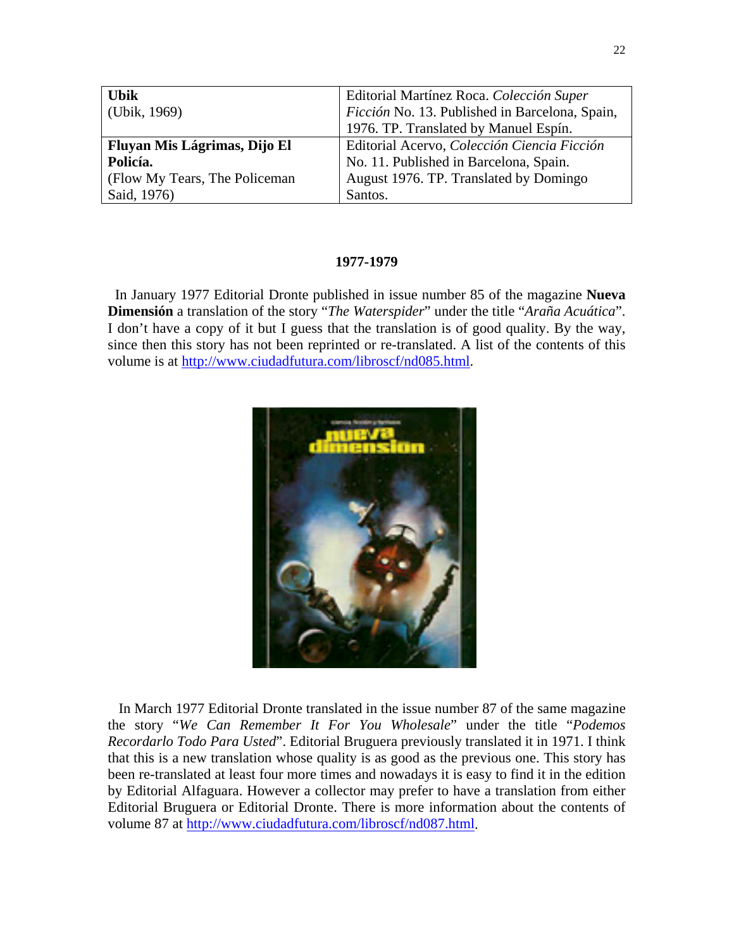| <b>Ubik</b>                    | Editorial Martínez Roca. Colección Super       |
|--------------------------------|------------------------------------------------|
| (Ubik, 1969)                   | Ficción No. 13. Published in Barcelona, Spain, |
|                                | 1976. TP. Translated by Manuel Espín.          |
| Fluyan Mis Lágrimas, Dijo El   | Editorial Acervo, Colección Ciencia Ficción    |
| Policía.                       | No. 11. Published in Barcelona, Spain.         |
| (Flow My Tears, The Policeman) | August 1976. TP. Translated by Domingo         |
| Said, 1976)                    | Santos.                                        |

### **1977-1979**

In January 1977 Editorial Dronte published in issue number 85 of the magazine **Nueva Dimensión** a translation of the story "*The Waterspider*" under the title "*Araña Acuática*". I don't have a copy of it but I guess that the translation is of good quality. By the way, since then this story has not been reprinted or re-translated. A list of the contents of this volume is at http://www.ciudadfutura.com/libroscf/nd085.html.



 In March 1977 Editorial Dronte translated in the issue number 87 of the same magazine the story "*We Can Remember It For You Wholesale*" under the title "*Podemos Recordarlo Todo Para Usted*". Editorial Bruguera previously translated it in 1971. I think that this is a new translation whose quality is as good as the previous one. This story has been re-translated at least four more times and nowadays it is easy to find it in the edition by Editorial Alfaguara. However a collector may prefer to have a translation from either Editorial Bruguera or Editorial Dronte. There is more information about the contents of volume 87 at http://www.ciudadfutura.com/libroscf/nd087.html.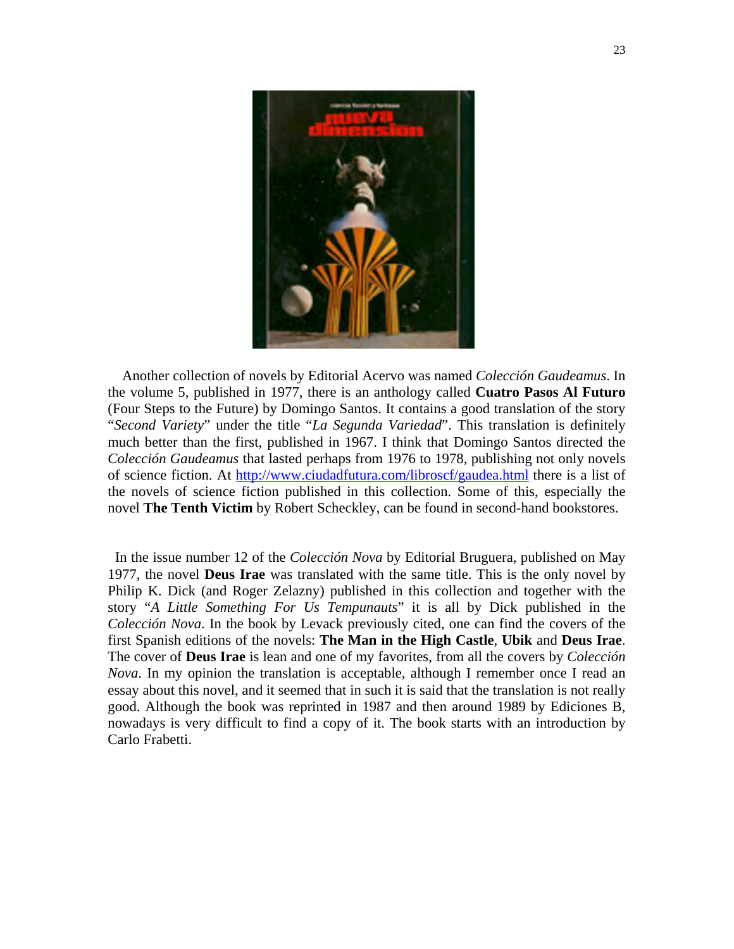

 Another collection of novels by Editorial Acervo was named *Colección Gaudeamus*. In the volume 5, published in 1977, there is an anthology called **Cuatro Pasos Al Futuro** (Four Steps to the Future) by Domingo Santos. It contains a good translation of the story "*Second Variety*" under the title "*La Segunda Variedad*". This translation is definitely much better than the first, published in 1967. I think that Domingo Santos directed the *Colección Gaudeamus* that lasted perhaps from 1976 to 1978, publishing not only novels of science fiction. At http://www.ciudadfutura.com/libroscf/gaudea.html there is a list of the novels of science fiction published in this collection. Some of this, especially the novel **The Tenth Victim** by Robert Scheckley, can be found in second-hand bookstores.

 In the issue number 12 of the *Colección Nova* by Editorial Bruguera, published on May 1977, the novel **Deus Irae** was translated with the same title. This is the only novel by Philip K. Dick (and Roger Zelazny) published in this collection and together with the story "*A Little Something For Us Tempunauts*" it is all by Dick published in the *Colección Nova*. In the book by Levack previously cited, one can find the covers of the first Spanish editions of the novels: **The Man in the High Castle**, **Ubik** and **Deus Irae**. The cover of **Deus Irae** is lean and one of my favorites, from all the covers by *Colección Nova*. In my opinion the translation is acceptable, although I remember once I read an essay about this novel, and it seemed that in such it is said that the translation is not really good. Although the book was reprinted in 1987 and then around 1989 by Ediciones B, nowadays is very difficult to find a copy of it. The book starts with an introduction by Carlo Frabetti.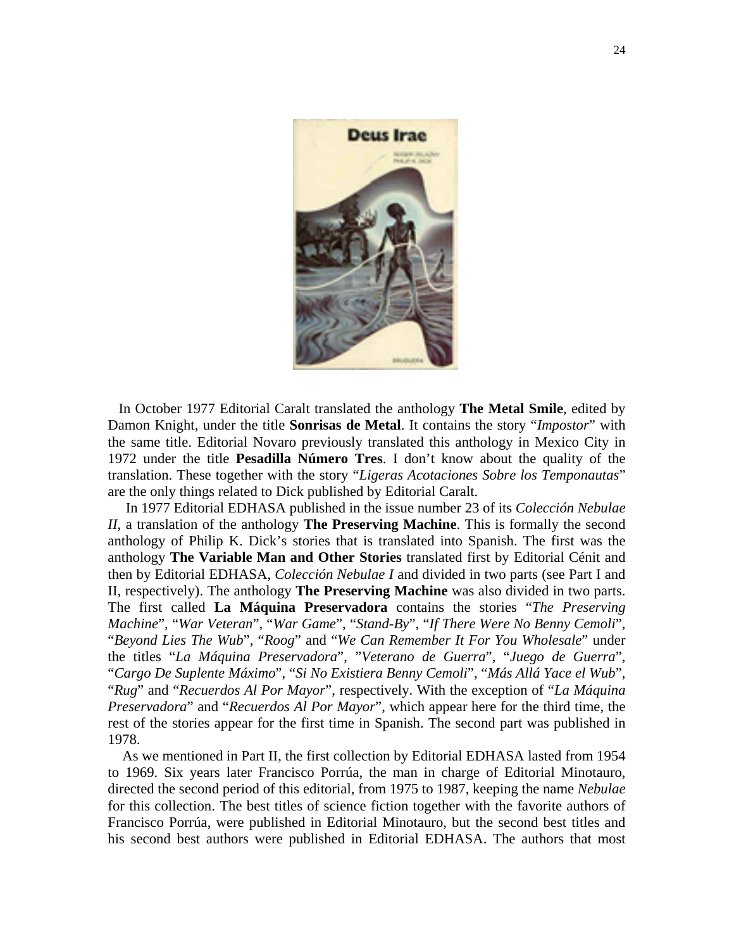

 In October 1977 Editorial Caralt translated the anthology **The Metal Smile**, edited by Damon Knight, under the title **Sonrisas de Metal**. It contains the story "*Impostor*" with the same title. Editorial Novaro previously translated this anthology in Mexico City in 1972 under the title **Pesadilla Número Tres**. I don't know about the quality of the translation. These together with the story "*Ligeras Acotaciones Sobre los Temponautas*" are the only things related to Dick published by Editorial Caralt.

 In 1977 Editorial EDHASA published in the issue number 23 of its *Colección Nebulae II*, a translation of the anthology **The Preserving Machine**. This is formally the second anthology of Philip K. Dick's stories that is translated into Spanish. The first was the anthology **The Variable Man and Other Stories** translated first by Editorial Cénit and then by Editorial EDHASA, *Colección Nebulae I* and divided in two parts (see Part I and II, respectively). The anthology **The Preserving Machine** was also divided in two parts. The first called **La Máquina Preservadora** contains the stories "*The Preserving Machine*", "*War Veteran*", "*War Game*", "*Stand-By*", "*If There Were No Benny Cemoli*", "*Beyond Lies The Wub*", "*Roog*" and "*We Can Remember It For You Wholesale*" under the titles "*La Máquina Preservadora*", "*Veterano de Guerra*", "*Juego de Guerra*", "*Cargo De Suplente Máximo*", "*Si No Existiera Benny Cemoli*", "*Más Allá Yace el Wub*", "*Rug*" and "*Recuerdos Al Por Mayor*", respectively. With the exception of "*La Máquina Preservadora*" and "*Recuerdos Al Por Mayor*", which appear here for the third time, the rest of the stories appear for the first time in Spanish. The second part was published in 1978.

 As we mentioned in Part II, the first collection by Editorial EDHASA lasted from 1954 to 1969. Six years later Francisco Porrúa, the man in charge of Editorial Minotauro, directed the second period of this editorial, from 1975 to 1987, keeping the name *Nebulae* for this collection. The best titles of science fiction together with the favorite authors of Francisco Porrúa, were published in Editorial Minotauro, but the second best titles and his second best authors were published in Editorial EDHASA. The authors that most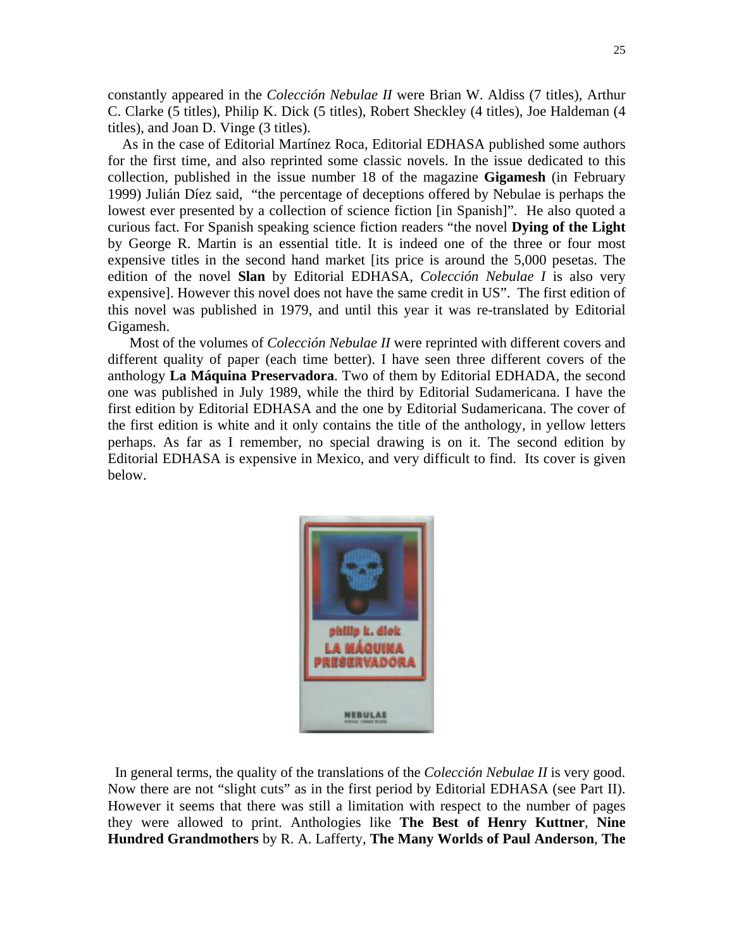constantly appeared in the *Colección Nebulae II* were Brian W. Aldiss (7 titles), Arthur C. Clarke (5 titles), Philip K. Dick (5 titles), Robert Sheckley (4 titles), Joe Haldeman (4 titles), and Joan D. Vinge (3 titles).

 As in the case of Editorial Martínez Roca, Editorial EDHASA published some authors for the first time, and also reprinted some classic novels. In the issue dedicated to this collection, published in the issue number 18 of the magazine **Gigamesh** (in February 1999) Julián Díez said, "the percentage of deceptions offered by Nebulae is perhaps the lowest ever presented by a collection of science fiction [in Spanish]". He also quoted a curious fact. For Spanish speaking science fiction readers "the novel **Dying of the Light** by George R. Martin is an essential title. It is indeed one of the three or four most expensive titles in the second hand market [its price is around the 5,000 pesetas. The edition of the novel **Slan** by Editorial EDHASA, *Colección Nebulae I* is also very expensive]. However this novel does not have the same credit in US". The first edition of this novel was published in 1979, and until this year it was re-translated by Editorial Gigamesh.

 Most of the volumes of *Colección Nebulae II* were reprinted with different covers and different quality of paper (each time better). I have seen three different covers of the anthology **La Máquina Preservadora**. Two of them by Editorial EDHADA, the second one was published in July 1989, while the third by Editorial Sudamericana. I have the first edition by Editorial EDHASA and the one by Editorial Sudamericana. The cover of the first edition is white and it only contains the title of the anthology, in yellow letters perhaps. As far as I remember, no special drawing is on it. The second edition by Editorial EDHASA is expensive in Mexico, and very difficult to find. Its cover is given below.



 In general terms, the quality of the translations of the *Colección Nebulae II* is very good. Now there are not "slight cuts" as in the first period by Editorial EDHASA (see Part II). However it seems that there was still a limitation with respect to the number of pages they were allowed to print. Anthologies like **The Best of Henry Kuttner**, **Nine Hundred Grandmothers** by R. A. Lafferty, **The Many Worlds of Paul Anderson**, **The**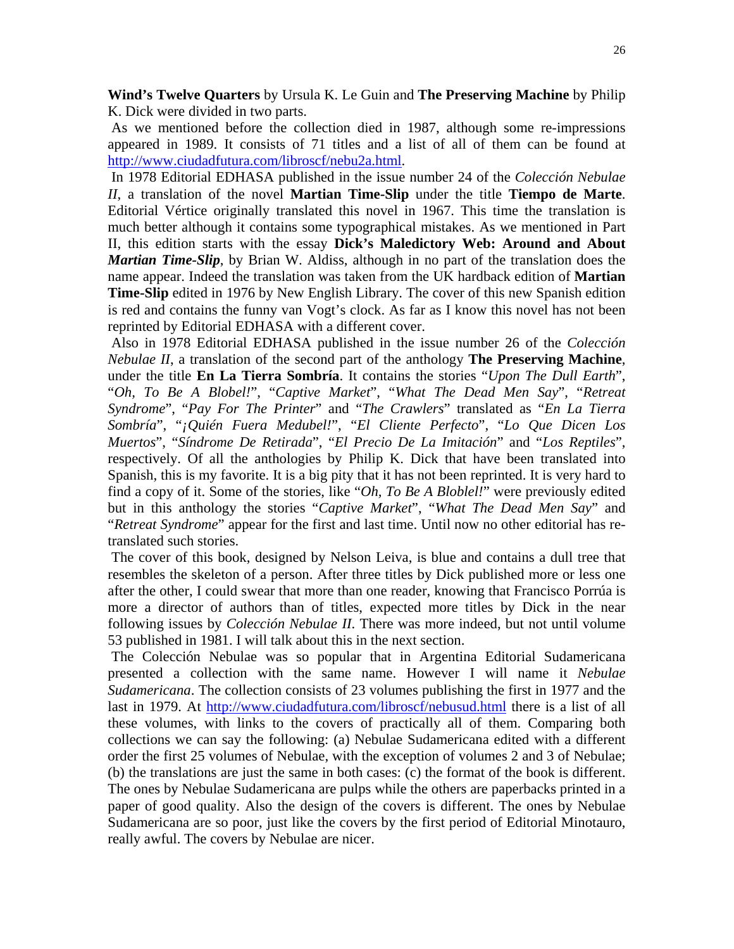**Wind's Twelve Quarters** by Ursula K. Le Guin and **The Preserving Machine** by Philip K. Dick were divided in two parts.

 As we mentioned before the collection died in 1987, although some re-impressions appeared in 1989. It consists of 71 titles and a list of all of them can be found at http://www.ciudadfutura.com/libroscf/nebu2a.html.

 In 1978 Editorial EDHASA published in the issue number 24 of the *Colección Nebulae II*, a translation of the novel **Martian Time-Slip** under the title **Tiempo de Marte**. Editorial Vértice originally translated this novel in 1967. This time the translation is much better although it contains some typographical mistakes. As we mentioned in Part II, this edition starts with the essay **Dick's Maledictory Web: Around and About**  *Martian Time-Slip*, by Brian W. Aldiss, although in no part of the translation does the name appear. Indeed the translation was taken from the UK hardback edition of **Martian Time-Slip** edited in 1976 by New English Library. The cover of this new Spanish edition is red and contains the funny van Vogt's clock. As far as I know this novel has not been reprinted by Editorial EDHASA with a different cover.

 Also in 1978 Editorial EDHASA published in the issue number 26 of the *Colección Nebulae II*, a translation of the second part of the anthology **The Preserving Machine**, under the title **En La Tierra Sombría**. It contains the stories "*Upon The Dull Earth*", "*Oh, To Be A Blobel!*", "*Captive Market*", "*What The Dead Men Say*", "*Retreat Syndrome*", "*Pay For The Printer*" and "*The Crawlers*" translated as "*En La Tierra Sombría*", "*¡Quién Fuera Medubel!*", "*El Cliente Perfecto*", "*Lo Que Dicen Los Muertos*", "*Síndrome De Retirada*", "*El Precio De La Imitación*" and "*Los Reptiles*", respectively. Of all the anthologies by Philip K. Dick that have been translated into Spanish, this is my favorite. It is a big pity that it has not been reprinted. It is very hard to find a copy of it. Some of the stories, like "*Oh, To Be A Bloblel!*" were previously edited but in this anthology the stories "*Captive Market*", "*What The Dead Men Say*" and "*Retreat Syndrome*" appear for the first and last time. Until now no other editorial has retranslated such stories.

 The cover of this book, designed by Nelson Leiva, is blue and contains a dull tree that resembles the skeleton of a person. After three titles by Dick published more or less one after the other, I could swear that more than one reader, knowing that Francisco Porrúa is more a director of authors than of titles, expected more titles by Dick in the near following issues by *Colección Nebulae II*. There was more indeed, but not until volume 53 published in 1981. I will talk about this in the next section.

 The Colección Nebulae was so popular that in Argentina Editorial Sudamericana presented a collection with the same name. However I will name it *Nebulae Sudamericana*. The collection consists of 23 volumes publishing the first in 1977 and the last in 1979. At http://www.ciudadfutura.com/libroscf/nebusud.html there is a list of all these volumes, with links to the covers of practically all of them. Comparing both collections we can say the following: (a) Nebulae Sudamericana edited with a different order the first 25 volumes of Nebulae, with the exception of volumes 2 and 3 of Nebulae; (b) the translations are just the same in both cases: (c) the format of the book is different. The ones by Nebulae Sudamericana are pulps while the others are paperbacks printed in a paper of good quality. Also the design of the covers is different. The ones by Nebulae Sudamericana are so poor, just like the covers by the first period of Editorial Minotauro, really awful. The covers by Nebulae are nicer.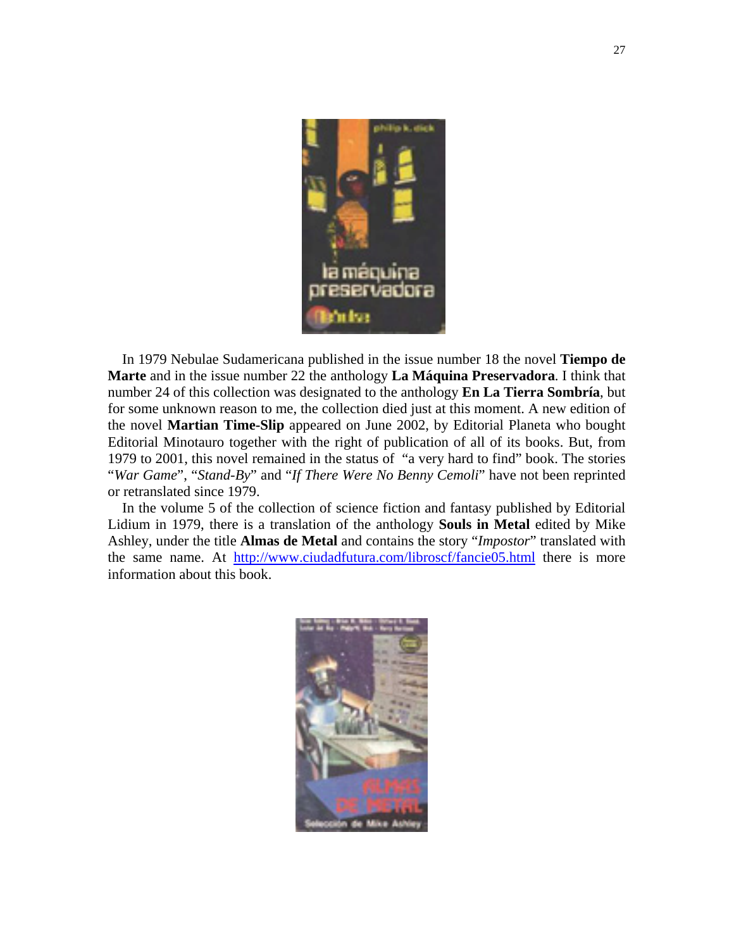

 In 1979 Nebulae Sudamericana published in the issue number 18 the novel **Tiempo de Marte** and in the issue number 22 the anthology **La Máquina Preservadora**. I think that number 24 of this collection was designated to the anthology **En La Tierra Sombría**, but for some unknown reason to me, the collection died just at this moment. A new edition of the novel **Martian Time-Slip** appeared on June 2002, by Editorial Planeta who bought Editorial Minotauro together with the right of publication of all of its books. But, from 1979 to 2001, this novel remained in the status of "a very hard to find" book. The stories "*War Game*", "*Stand-By*" and "*If There Were No Benny Cemoli*" have not been reprinted or retranslated since 1979.

 In the volume 5 of the collection of science fiction and fantasy published by Editorial Lidium in 1979, there is a translation of the anthology **Souls in Metal** edited by Mike Ashley, under the title **Almas de Metal** and contains the story "*Impostor*" translated with the same name. At http://www.ciudadfutura.com/libroscf/fancie05.html there is more information about this book.

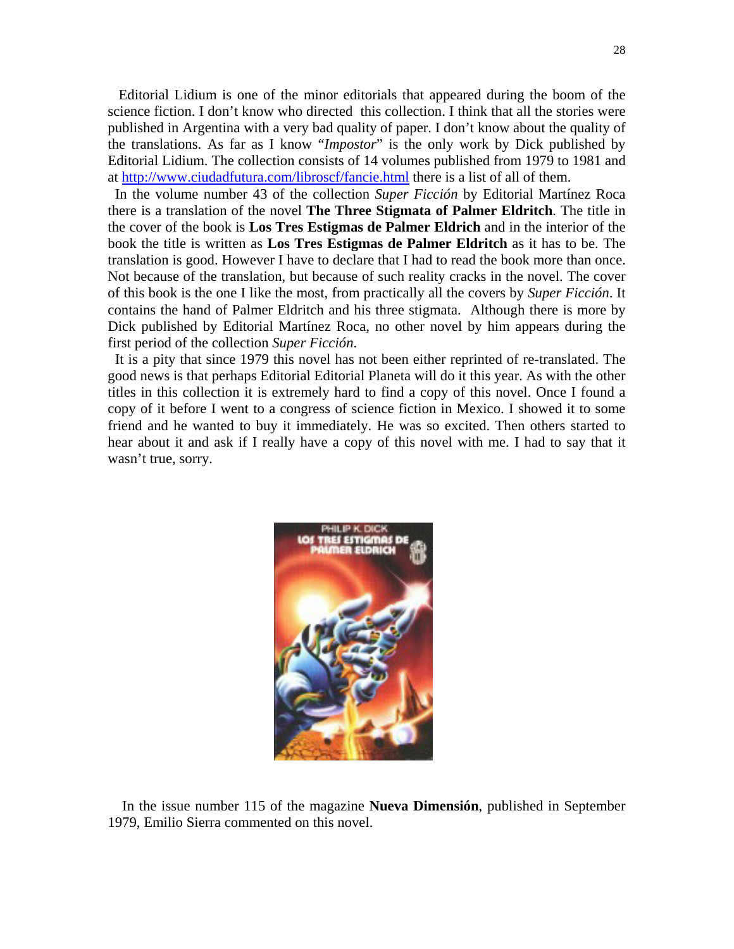Editorial Lidium is one of the minor editorials that appeared during the boom of the science fiction. I don't know who directed this collection. I think that all the stories were published in Argentina with a very bad quality of paper. I don't know about the quality of the translations. As far as I know "*Impostor*" is the only work by Dick published by Editorial Lidium. The collection consists of 14 volumes published from 1979 to 1981 and at http://www.ciudadfutura.com/libroscf/fancie.html there is a list of all of them.

 In the volume number 43 of the collection *Super Ficción* by Editorial Martínez Roca there is a translation of the novel **The Three Stigmata of Palmer Eldritch**. The title in the cover of the book is **Los Tres Estigmas de Palmer Eldrich** and in the interior of the book the title is written as **Los Tres Estigmas de Palmer Eldritch** as it has to be. The translation is good. However I have to declare that I had to read the book more than once. Not because of the translation, but because of such reality cracks in the novel. The cover of this book is the one I like the most, from practically all the covers by *Super Ficción*. It contains the hand of Palmer Eldritch and his three stigmata. Although there is more by Dick published by Editorial Martínez Roca, no other novel by him appears during the first period of the collection *Super Ficción*.

 It is a pity that since 1979 this novel has not been either reprinted of re-translated. The good news is that perhaps Editorial Editorial Planeta will do it this year. As with the other titles in this collection it is extremely hard to find a copy of this novel. Once I found a copy of it before I went to a congress of science fiction in Mexico. I showed it to some friend and he wanted to buy it immediately. He was so excited. Then others started to hear about it and ask if I really have a copy of this novel with me. I had to say that it wasn't true, sorry.



 In the issue number 115 of the magazine **Nueva Dimensión**, published in September 1979, Emilio Sierra commented on this novel.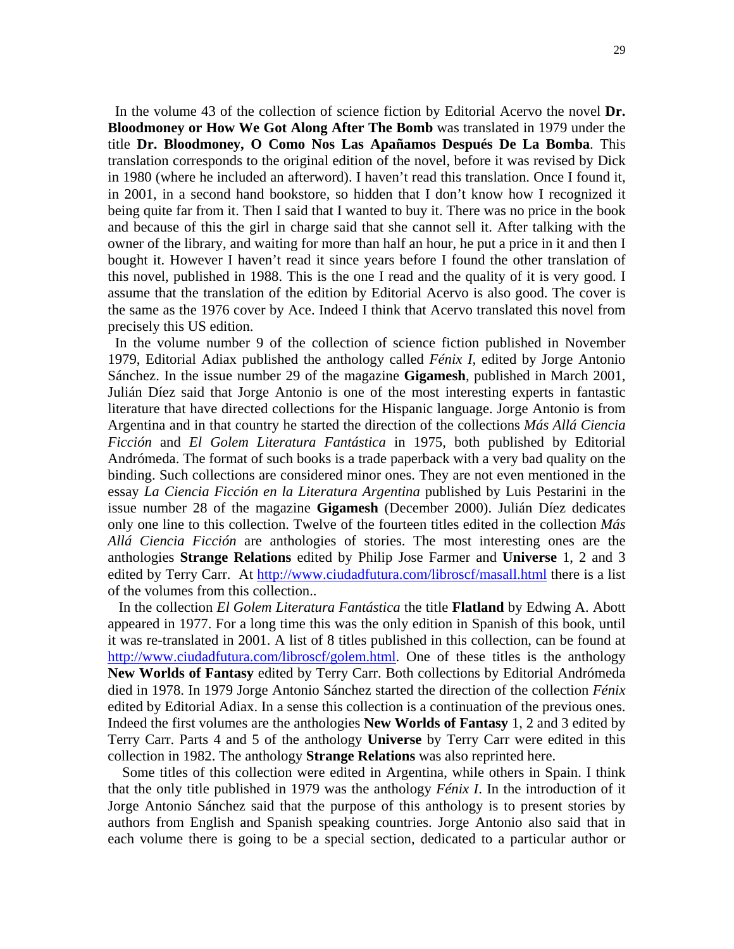In the volume 43 of the collection of science fiction by Editorial Acervo the novel **Dr. Bloodmoney or How We Got Along After The Bomb** was translated in 1979 under the title **Dr. Bloodmoney, O Como Nos Las Apañamos Después De La Bomba**. This translation corresponds to the original edition of the novel, before it was revised by Dick in 1980 (where he included an afterword). I haven't read this translation. Once I found it, in 2001, in a second hand bookstore, so hidden that I don't know how I recognized it being quite far from it. Then I said that I wanted to buy it. There was no price in the book and because of this the girl in charge said that she cannot sell it. After talking with the owner of the library, and waiting for more than half an hour, he put a price in it and then I bought it. However I haven't read it since years before I found the other translation of this novel, published in 1988. This is the one I read and the quality of it is very good. I assume that the translation of the edition by Editorial Acervo is also good. The cover is the same as the 1976 cover by Ace. Indeed I think that Acervo translated this novel from precisely this US edition.

 In the volume number 9 of the collection of science fiction published in November 1979, Editorial Adiax published the anthology called *Fénix I*, edited by Jorge Antonio Sánchez. In the issue number 29 of the magazine **Gigamesh**, published in March 2001, Julián Díez said that Jorge Antonio is one of the most interesting experts in fantastic literature that have directed collections for the Hispanic language. Jorge Antonio is from Argentina and in that country he started the direction of the collections *Más Allá Ciencia Ficción* and *El Golem Literatura Fantástica* in 1975, both published by Editorial Andrómeda. The format of such books is a trade paperback with a very bad quality on the binding. Such collections are considered minor ones. They are not even mentioned in the essay *La Ciencia Ficción en la Literatura Argentina* published by Luis Pestarini in the issue number 28 of the magazine **Gigamesh** (December 2000). Julián Díez dedicates only one line to this collection. Twelve of the fourteen titles edited in the collection *Más Allá Ciencia Ficción* are anthologies of stories. The most interesting ones are the anthologies **Strange Relations** edited by Philip Jose Farmer and **Universe** 1, 2 and 3 edited by Terry Carr. At http://www.ciudadfutura.com/libroscf/masall.html there is a list of the volumes from this collection..

 In the collection *El Golem Literatura Fantástica* the title **Flatland** by Edwing A. Abott appeared in 1977. For a long time this was the only edition in Spanish of this book, until it was re-translated in 2001. A list of 8 titles published in this collection, can be found at http://www.ciudadfutura.com/libroscf/golem.html. One of these titles is the anthology **New Worlds of Fantasy** edited by Terry Carr. Both collections by Editorial Andrómeda died in 1978. In 1979 Jorge Antonio Sánchez started the direction of the collection *Fénix* edited by Editorial Adiax. In a sense this collection is a continuation of the previous ones. Indeed the first volumes are the anthologies **New Worlds of Fantasy** 1, 2 and 3 edited by Terry Carr. Parts 4 and 5 of the anthology **Universe** by Terry Carr were edited in this collection in 1982. The anthology **Strange Relations** was also reprinted here.

 Some titles of this collection were edited in Argentina, while others in Spain. I think that the only title published in 1979 was the anthology *Fénix I*. In the introduction of it Jorge Antonio Sánchez said that the purpose of this anthology is to present stories by authors from English and Spanish speaking countries. Jorge Antonio also said that in each volume there is going to be a special section, dedicated to a particular author or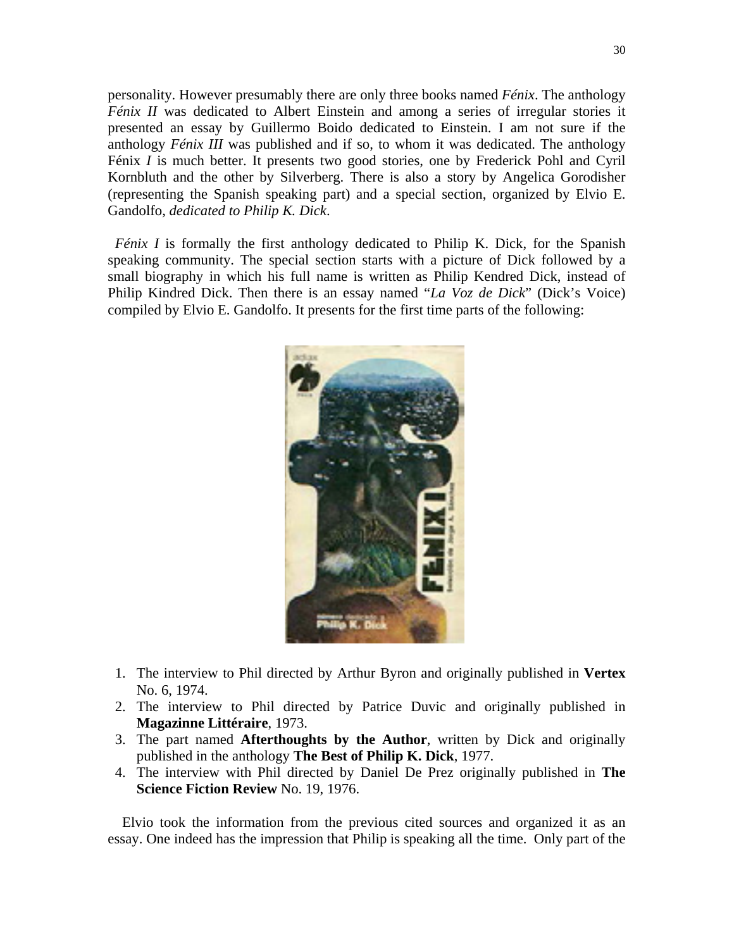personality. However presumably there are only three books named *Fénix*. The anthology *Fénix II* was dedicated to Albert Einstein and among a series of irregular stories it presented an essay by Guillermo Boido dedicated to Einstein. I am not sure if the anthology *Fénix III* was published and if so, to whom it was dedicated. The anthology Fénix *I* is much better. It presents two good stories, one by Frederick Pohl and Cyril Kornbluth and the other by Silverberg. There is also a story by Angelica Gorodisher (representing the Spanish speaking part) and a special section, organized by Elvio E. Gandolfo, *dedicated to Philip K. Dick*.

*Fénix I* is formally the first anthology dedicated to Philip K. Dick, for the Spanish speaking community. The special section starts with a picture of Dick followed by a small biography in which his full name is written as Philip Kendred Dick, instead of Philip Kindred Dick. Then there is an essay named "*La Voz de Dick*" (Dick's Voice) compiled by Elvio E. Gandolfo. It presents for the first time parts of the following:



- 1. The interview to Phil directed by Arthur Byron and originally published in **Vertex** No. 6, 1974.
- 2. The interview to Phil directed by Patrice Duvic and originally published in **Magazinne Littéraire**, 1973.
- 3. The part named **Afterthoughts by the Author**, written by Dick and originally published in the anthology **The Best of Philip K. Dick**, 1977.
- 4. The interview with Phil directed by Daniel De Prez originally published in **The Science Fiction Review** No. 19, 1976.

 Elvio took the information from the previous cited sources and organized it as an essay. One indeed has the impression that Philip is speaking all the time. Only part of the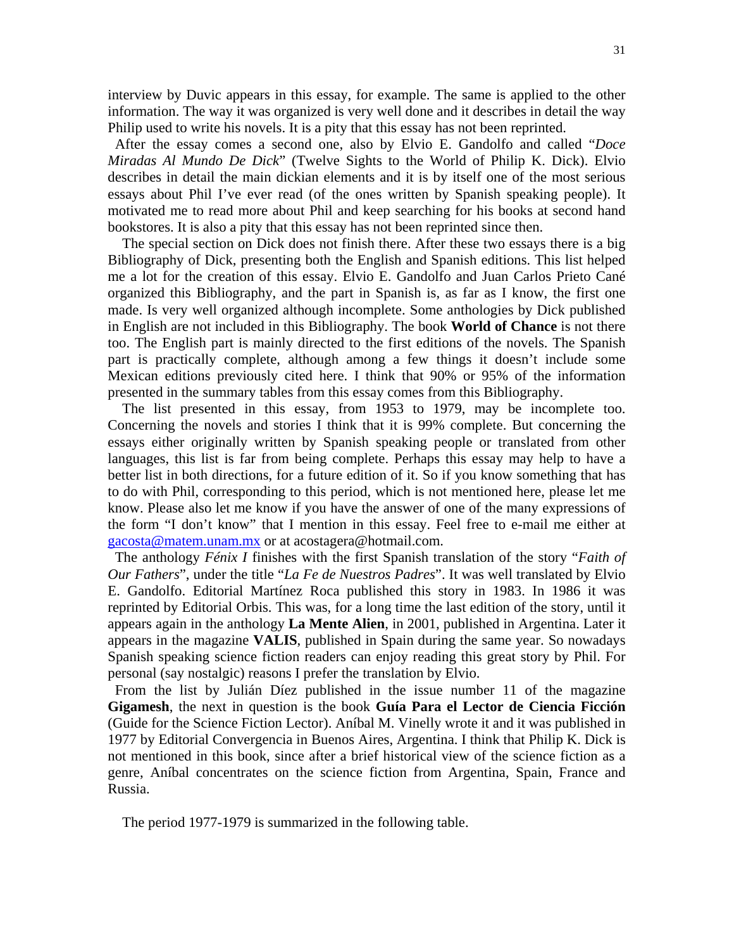interview by Duvic appears in this essay, for example. The same is applied to the other information. The way it was organized is very well done and it describes in detail the way Philip used to write his novels. It is a pity that this essay has not been reprinted.

 After the essay comes a second one, also by Elvio E. Gandolfo and called "*Doce Miradas Al Mundo De Dick*" (Twelve Sights to the World of Philip K. Dick). Elvio describes in detail the main dickian elements and it is by itself one of the most serious essays about Phil I've ever read (of the ones written by Spanish speaking people). It motivated me to read more about Phil and keep searching for his books at second hand bookstores. It is also a pity that this essay has not been reprinted since then.

 The special section on Dick does not finish there. After these two essays there is a big Bibliography of Dick, presenting both the English and Spanish editions. This list helped me a lot for the creation of this essay. Elvio E. Gandolfo and Juan Carlos Prieto Cané organized this Bibliography, and the part in Spanish is, as far as I know, the first one made. Is very well organized although incomplete. Some anthologies by Dick published in English are not included in this Bibliography. The book **World of Chance** is not there too. The English part is mainly directed to the first editions of the novels. The Spanish part is practically complete, although among a few things it doesn't include some Mexican editions previously cited here. I think that 90% or 95% of the information presented in the summary tables from this essay comes from this Bibliography.

 The list presented in this essay, from 1953 to 1979, may be incomplete too. Concerning the novels and stories I think that it is 99% complete. But concerning the essays either originally written by Spanish speaking people or translated from other languages, this list is far from being complete. Perhaps this essay may help to have a better list in both directions, for a future edition of it. So if you know something that has to do with Phil, corresponding to this period, which is not mentioned here, please let me know. Please also let me know if you have the answer of one of the many expressions of the form "I don't know" that I mention in this essay. Feel free to e-mail me either at gacosta@matem.unam.mx or at acostagera@hotmail.com.

 The anthology *Fénix I* finishes with the first Spanish translation of the story "*Faith of Our Fathers*", under the title "*La Fe de Nuestros Padres*". It was well translated by Elvio E. Gandolfo. Editorial Martínez Roca published this story in 1983. In 1986 it was reprinted by Editorial Orbis. This was, for a long time the last edition of the story, until it appears again in the anthology **La Mente Alien**, in 2001, published in Argentina. Later it appears in the magazine **VALIS**, published in Spain during the same year. So nowadays Spanish speaking science fiction readers can enjoy reading this great story by Phil. For personal (say nostalgic) reasons I prefer the translation by Elvio.

 From the list by Julián Díez published in the issue number 11 of the magazine **Gigamesh**, the next in question is the book **Guía Para el Lector de Ciencia Ficción** (Guide for the Science Fiction Lector). Aníbal M. Vinelly wrote it and it was published in 1977 by Editorial Convergencia in Buenos Aires, Argentina. I think that Philip K. Dick is not mentioned in this book, since after a brief historical view of the science fiction as a genre, Aníbal concentrates on the science fiction from Argentina, Spain, France and Russia.

The period 1977-1979 is summarized in the following table.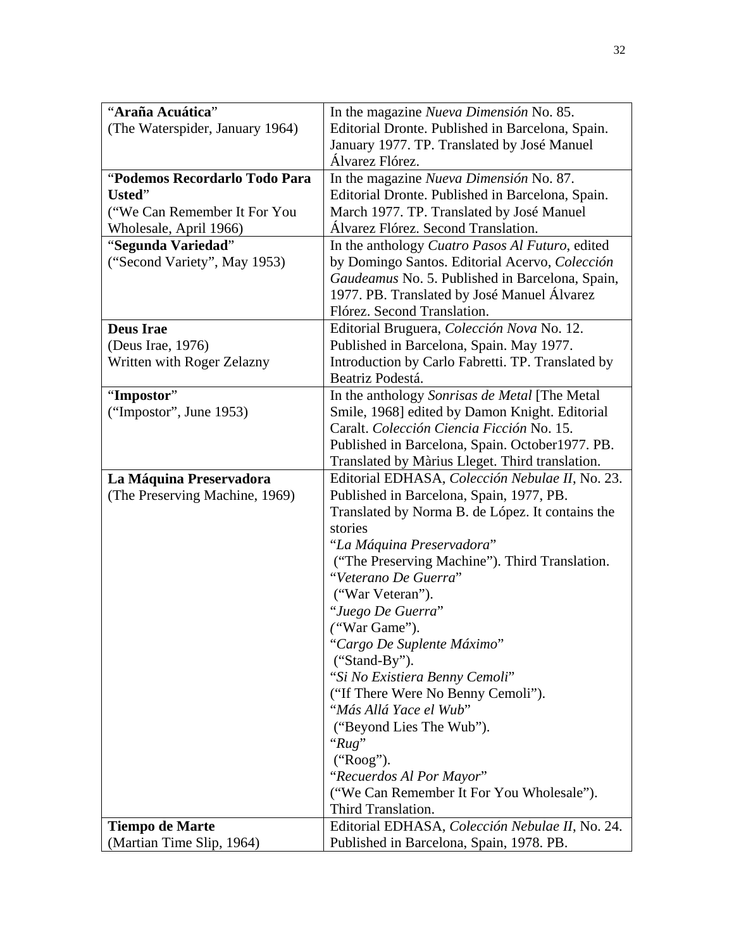| "Araña Acuática"                | In the magazine Nueva Dimensión No. 85.                                |
|---------------------------------|------------------------------------------------------------------------|
| (The Waterspider, January 1964) | Editorial Dronte. Published in Barcelona, Spain.                       |
|                                 | January 1977. TP. Translated by José Manuel                            |
|                                 | Álvarez Flórez.                                                        |
| "Podemos Recordarlo Todo Para   | In the magazine Nueva Dimensión No. 87.                                |
| Usted"                          | Editorial Dronte. Published in Barcelona, Spain.                       |
| ("We Can Remember It For You    | March 1977. TP. Translated by José Manuel                              |
| Wholesale, April 1966)          | Álvarez Flórez. Second Translation.                                    |
| "Segunda Variedad"              | In the anthology Cuatro Pasos Al Futuro, edited                        |
| ("Second Variety", May 1953)    | by Domingo Santos. Editorial Acervo, Colección                         |
|                                 | Gaudeamus No. 5. Published in Barcelona, Spain,                        |
|                                 | 1977. PB. Translated by José Manuel Álvarez                            |
|                                 | Flórez. Second Translation.                                            |
| <b>Deus Irae</b>                | Editorial Bruguera, Colección Nova No. 12.                             |
| (Deus Irae, 1976)               | Published in Barcelona, Spain. May 1977.                               |
| Written with Roger Zelazny      | Introduction by Carlo Fabretti. TP. Translated by                      |
|                                 | Beatriz Podestá.                                                       |
| "Impostor"                      | In the anthology Sonrisas de Metal [The Metal                          |
| ("Impostor", June $1953$ )      | Smile, 1968] edited by Damon Knight. Editorial                         |
|                                 | Caralt. Colección Ciencia Ficción No. 15.                              |
|                                 | Published in Barcelona, Spain. October 1977. PB.                       |
|                                 | Translated by Màrius Lleget. Third translation.                        |
| La Máquina Preservadora         | Editorial EDHASA, Colección Nebulae II, No. 23.                        |
| (The Preserving Machine, 1969)  | Published in Barcelona, Spain, 1977, PB.                               |
|                                 | Translated by Norma B. de López. It contains the                       |
|                                 | stories                                                                |
|                                 | "La Máquina Preservadora"                                              |
|                                 | ("The Preserving Machine"). Third Translation.<br>"Veterano De Guerra" |
|                                 |                                                                        |
|                                 | ("War Veteran").                                                       |
|                                 | "Juego De Guerra"                                                      |
|                                 | ("War Game").<br>"Cargo De Suplente Máximo"                            |
|                                 | ("Stand-By").                                                          |
|                                 | "Si No Existiera Benny Cemoli"                                         |
|                                 | ("If There Were No Benny Cemoli").                                     |
|                                 | "Más Allá Yace el Wub"                                                 |
|                                 | ("Beyond Lies The Wub").                                               |
|                                 | " $Rug$ "                                                              |
|                                 | ("Roog").                                                              |
|                                 | "Recuerdos Al Por Mayor"                                               |
|                                 | ("We Can Remember It For You Wholesale").                              |
|                                 | Third Translation.                                                     |
| <b>Tiempo de Marte</b>          | Editorial EDHASA, Colección Nebulae II, No. 24.                        |
| (Martian Time Slip, 1964)       | Published in Barcelona, Spain, 1978. PB.                               |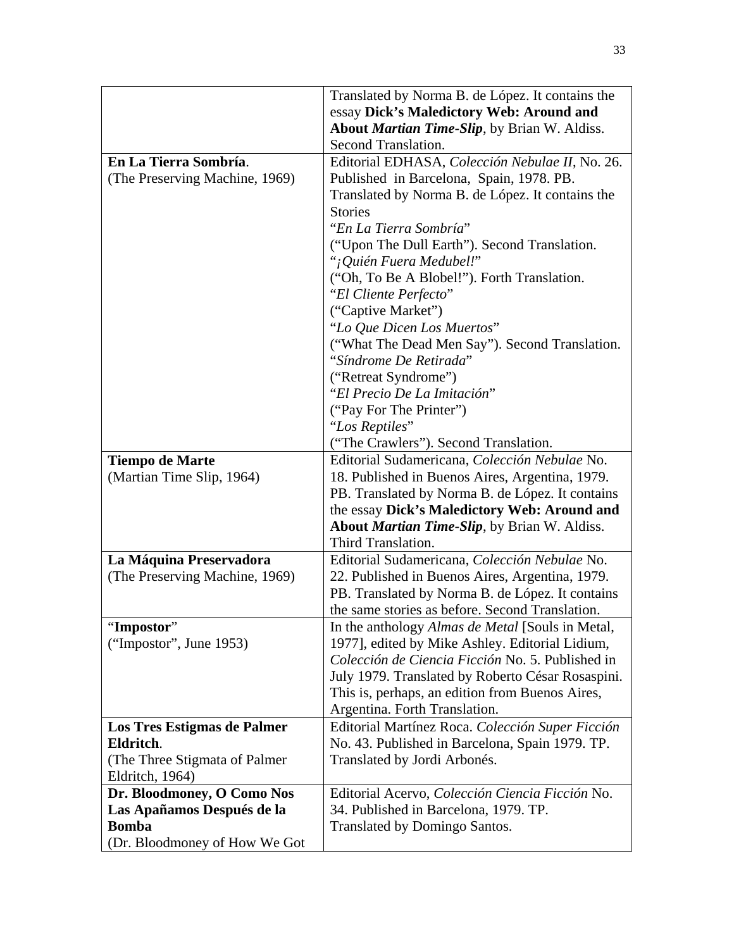|                                | Translated by Norma B. de López. It contains the        |
|--------------------------------|---------------------------------------------------------|
|                                | essay Dick's Maledictory Web: Around and                |
|                                | <b>About Martian Time-Slip</b> , by Brian W. Aldiss.    |
|                                | Second Translation.                                     |
| En La Tierra Sombría.          | Editorial EDHASA, Colección Nebulae II, No. 26.         |
|                                |                                                         |
| (The Preserving Machine, 1969) | Published in Barcelona, Spain, 1978. PB.                |
|                                | Translated by Norma B. de López. It contains the        |
|                                | <b>Stories</b>                                          |
|                                | "En La Tierra Sombría"                                  |
|                                | ("Upon The Dull Earth"). Second Translation.            |
|                                | "¡Quién Fuera Medubel!"                                 |
|                                | ("Oh, To Be A Blobel!"). Forth Translation.             |
|                                | "El Cliente Perfecto"                                   |
|                                | ("Captive Market")                                      |
|                                | "Lo Que Dicen Los Muertos"                              |
|                                | ("What The Dead Men Say"). Second Translation.          |
|                                | "Síndrome De Retirada"                                  |
|                                | ("Retreat Syndrome")                                    |
|                                | "El Precio De La Imitación"                             |
|                                | ("Pay For The Printer")                                 |
|                                | "Los Reptiles"                                          |
|                                | ("The Crawlers"). Second Translation.                   |
| <b>Tiempo de Marte</b>         | Editorial Sudamericana, Colección Nebulae No.           |
| (Martian Time Slip, 1964)      | 18. Published in Buenos Aires, Argentina, 1979.         |
|                                | PB. Translated by Norma B. de López. It contains        |
|                                | the essay Dick's Maledictory Web: Around and            |
|                                | <b>About Martian Time-Slip</b> , by Brian W. Aldiss.    |
|                                | Third Translation.                                      |
| La Máquina Preservadora        | Editorial Sudamericana, Colección Nebulae No.           |
| (The Preserving Machine, 1969) | 22. Published in Buenos Aires, Argentina, 1979.         |
|                                | PB. Translated by Norma B. de López. It contains        |
|                                | the same stories as before. Second Translation.         |
| 'Impostor''                    | In the anthology <i>Almas de Metal</i> [Souls in Metal, |
| ("Impostor", June $1953$ )     | 1977], edited by Mike Ashley. Editorial Lidium,         |
|                                | Colección de Ciencia Ficción No. 5. Published in        |
|                                |                                                         |
|                                | July 1979. Translated by Roberto César Rosaspini.       |
|                                | This is, perhaps, an edition from Buenos Aires,         |
|                                | Argentina. Forth Translation.                           |
| Los Tres Estigmas de Palmer    | Editorial Martínez Roca. Colección Super Ficción        |
| Eldritch.                      | No. 43. Published in Barcelona, Spain 1979. TP.         |
| (The Three Stigmata of Palmer) | Translated by Jordi Arbonés.                            |
| Eldritch, 1964)                |                                                         |
| Dr. Bloodmoney, O Como Nos     | Editorial Acervo, Colección Ciencia Ficción No.         |
| Las Apañamos Después de la     | 34. Published in Barcelona, 1979. TP.                   |
| <b>Bomba</b>                   | Translated by Domingo Santos.                           |
| (Dr. Bloodmoney of How We Got  |                                                         |